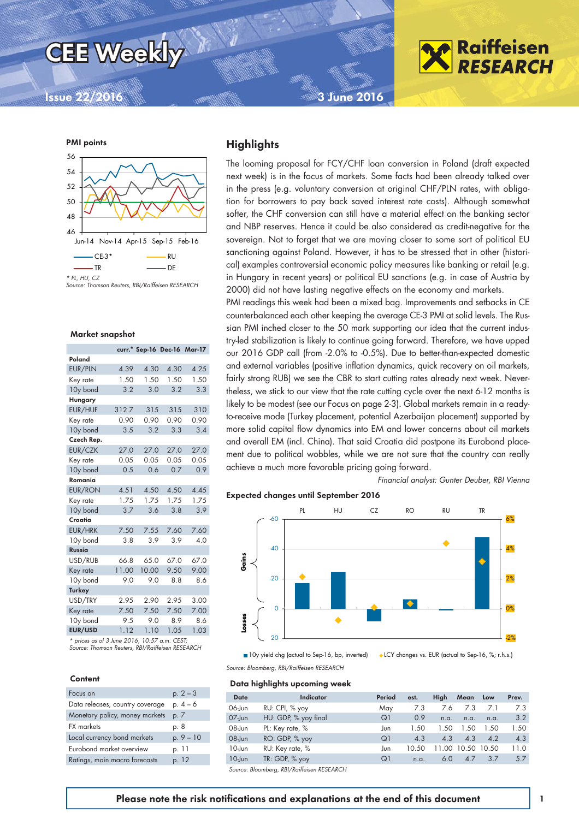

### **Issue 22/2016 3 June 2016**



*Source: Thomson Reuters, RBI/Raiffeisen RESEARCH*

#### Market snapshot

|                |       | curr.* Sep-16 Dec-16 Mar-17 |      |      |
|----------------|-------|-----------------------------|------|------|
| Poland         |       |                             |      |      |
| EUR/PLN        | 4.39  | 4.30                        | 4.30 | 4.25 |
| Key rate       | 1.50  | 1.50                        | 1.50 | 1.50 |
| 10y bond       | 3.2   | 3.0                         | 3.2  | 3.3  |
| Hungary        |       |                             |      |      |
| EUR/HUF        | 312.7 | 315                         | 315  | 310  |
| Key rate       | 0.90  | 0.90                        | 0.90 | 0.90 |
| 10y bond       | 3.5   | 3.2                         | 3.3  | 3.4  |
| Czech Rep.     |       |                             |      |      |
| EUR/CZK        | 27.0  | 27.0                        | 27.0 | 27.0 |
| Key rate       | 0.05  | 0.05                        | 0.05 | 0.05 |
| 10y bond       | 0.5   | 0.6                         | 0.7  | 0.9  |
| Romania        |       |                             |      |      |
| <b>EUR/RON</b> | 4.51  | 4.50                        | 4.50 | 4.45 |
| Key rate       | 1.75  | 1.75                        | 1.75 | 1.75 |
| 10y bond       | 3.7   | 3.6                         | 3.8  | 3.9  |
| Croatia        |       |                             |      |      |
| EUR/HRK        | 7.50  | 7.55                        | 7.60 | 7.60 |
| 10y bond       | 3.8   | 3.9                         | 3.9  | 4.0  |
| Russia         |       |                             |      |      |
| USD/RUB        | 66.8  | 65.0                        | 67.0 | 67.0 |
| Key rate       | 11.00 | 10.00                       | 9.50 | 9.00 |
| 10y bond       | 9.0   | 9.0                         | 8.8  | 8.6  |
| <b>Turkey</b>  |       |                             |      |      |
| USD/TRY        | 2.95  | 2.90                        | 2.95 | 3.00 |
| Key rate       | 7.50  | 7.50                        | 7.50 | 7.00 |
| 10y bond       | 9.5   | 9.0                         | 8.9  | 8.6  |
| EUR/USD        | 1.12  | 1.10                        | 1.05 | 1.03 |

*\* prices as of 3 June 2016, 10:57 a.m. CEST; Source: Thomson Reuters, RBI/Raiffeisen RESEARCH*

#### Content

| Focus on                        | $p. 2 - 3$ |
|---------------------------------|------------|
| Data releases, country coverage | $p.4-6$    |
| Monetary policy, money markets  | p. 7       |
| <b>FX</b> markets               | p. 8       |
| Local currency bond markets     | $p.9 - 10$ |
| Eurobond market overview        | p. 11      |
| Ratings, main macro forecasts   | p. 12      |

#### **Highlights**

The looming proposal for FCY/CHF loan conversion in Poland (draft expected next week) is in the focus of markets. Some facts had been already talked over in the press (e.g. voluntary conversion at original CHF/PLN rates, with obligation for borrowers to pay back saved interest rate costs). Although somewhat softer, the CHF conversion can still have a material effect on the banking sector and NBP reserves. Hence it could be also considered as credit-negative for the sovereign. Not to forget that we are moving closer to some sort of political EU sanctioning against Poland. However, it has to be stressed that in other (historical) examples controversial economic policy measures like banking or retail (e.g. in Hungary in recent years) or political EU sanctions (e.g. in case of Austria by 2000) did not have lasting negative effects on the economy and markets.

PMI readings this week had been a mixed bag. Improvements and setbacks in CE counterbalanced each other keeping the average CE-3 PMI at solid levels. The Russian PMI inched closer to the 50 mark supporting our idea that the current industry-led stabilization is likely to continue going forward. Therefore, we have upped our 2016 GDP call (from -2.0% to -0.5%). Due to better-than-expected domestic and external variables (positive inflation dynamics, quick recovery on oil markets, fairly strong RUB) we see the CBR to start cutting rates already next week. Nevertheless, we stick to our view that the rate cutting cycle over the next 6-12 months is likely to be modest (see our Focus on page 2-3). Global markets remain in a readyto-receive mode (Turkey placement, potential Azerbaijan placement) supported by more solid capital flow dynamics into EM and lower concerns about oil markets and overall EM (incl. China). That said Croatia did postpone its Eurobond placement due to political wobbles, while we are not sure that the country can really achieve a much more favorable pricing going forward.

*Financial analyst: Gunter Deuber, RBI Vienna* 

**Raiffeisen RESEARCH** 

#### Expected changes until September 2016



<sup>■ 10</sup>y yield chg (actual to Sep-16, bp, inverted) → LCY changes vs. EUR (actual to Sep-16, %; r.h.s.)

*Source: Bloomberg, RBI/Raiffeisen RESEARCH*

#### Data highlights upcoming week

| <b>Date</b> | Indicator            | Period | est.  | High   | Mean  | Low   | Prev. |
|-------------|----------------------|--------|-------|--------|-------|-------|-------|
| 06-Jun      | RU: CPI, % yoy       | May    | 7.3   | 7.6    | 7.3   | 7.1   | 7.3   |
| 07-Jun      | HU: GDP, % yoy final | Q      | 0.9   | n.a.   | n.a.  | n.a.  | 3.2   |
| 08-Jun      | PL: Key rate, %      | Jun    | 1.50  | 1.50   | 1.50  | 1.50  | 1.50  |
| 08-Jun      | RO: GDP, % yoy       | Q1     | 4.3   | 4.3    | 4.3   | 4.2   | 4.3   |
| 10-Jun      | RU: Key rate, %      | Jun    | 10.50 | 11 OO. | 10.50 | 10.50 | 11.0  |
| $10$ -Jun   | $TR: GDP, %$ yoy     | Q      | n.a.  | 60     | 4.7   | 3.7   | 5.7   |
|             |                      |        |       |        |       |       |       |

*Source: Bloomberg, RBI/Raiffeisen RESEARCH*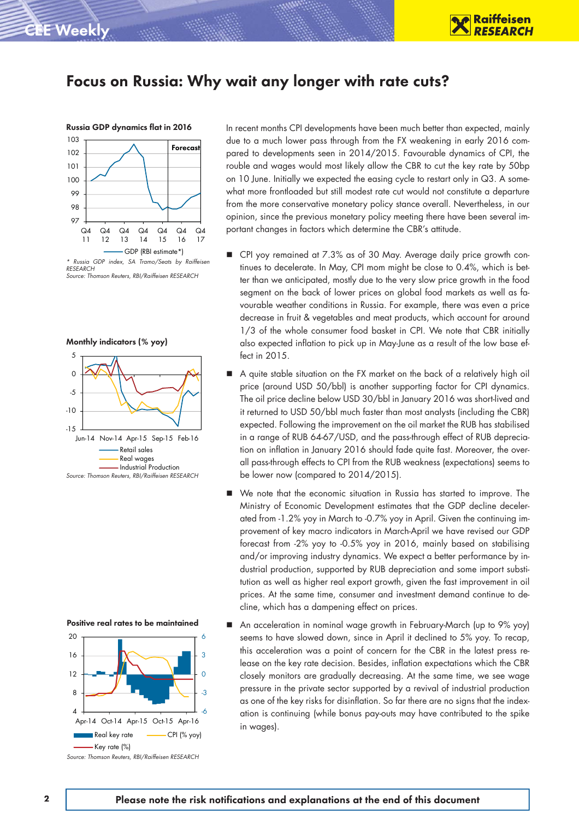

### Focus on Russia: Why wait any longer with rate cuts?



*RESEARCH Source: Thomson Reuters, RBI/Raiffeisen RESEARCH*

#### Monthly indicators (% yoy)





In recent months CPI developments have been much better than expected, mainly due to a much lower pass through from the FX weakening in early 2016 compared to developments seen in 2014/2015. Favourable dynamics of CPI, the rouble and wages would most likely allow the CBR to cut the key rate by 50bp on 10 June. Initially we expected the easing cycle to restart only in Q3. A somewhat more frontloaded but still modest rate cut would not constitute a departure from the more conservative monetary policy stance overall. Nevertheless, in our opinion, since the previous monetary policy meeting there have been several important changes in factors which determine the CBR's attitude.

- CPI yoy remained at 7.3% as of 30 May. Average daily price growth continues to decelerate. In May, CPI mom might be close to 0.4%, which is better than we anticipated, mostly due to the very slow price growth in the food segment on the back of lower prices on global food markets as well as favourable weather conditions in Russia. For example, there was even a price decrease in fruit & vegetables and meat products, which account for around 1/3 of the whole consumer food basket in CPI. We note that CBR initially also expected inflation to pick up in May-June as a result of the low base effect in 2015.
- A quite stable situation on the FX market on the back of a relatively high oil price (around USD 50/bbl) is another supporting factor for CPI dynamics. The oil price decline below USD 30/bbl in January 2016 was short-lived and it returned to USD 50/bbl much faster than most analysts (including the CBR) expected. Following the improvement on the oil market the RUB has stabilised in a range of RUB 64-67/USD, and the pass-through effect of RUB depreciation on inflation in January 2016 should fade quite fast. Moreover, the overall pass-through effects to CPI from the RUB weakness (expectations) seems to be lower now (compared to 2014/2015).
- We note that the economic situation in Russia has started to improve. The Ministry of Economic Development estimates that the GDP decline decelerated from -1.2% yoy in March to -0.7% yoy in April. Given the continuing improvement of key macro indicators in March-April we have revised our GDP forecast from -2% yoy to -0.5% yoy in 2016, mainly based on stabilising and/or improving industry dynamics. We expect a better performance by industrial production, supported by RUB depreciation and some import substitution as well as higher real export growth, given the fast improvement in oil prices. At the same time, consumer and investment demand continue to decline, which has a dampening effect on prices.
- An acceleration in nominal wage growth in February-March (up to 9% yoy) seems to have slowed down, since in April it declined to 5% yoy. To recap, this acceleration was a point of concern for the CBR in the latest press release on the key rate decision. Besides, inflation expectations which the CBR closely monitors are gradually decreasing. At the same time, we see wage pressure in the private sector supported by a revival of industrial production as one of the key risks for disinflation. So far there are no signs that the indexation is continuing (while bonus pay-outs may have contributed to the spike in wages).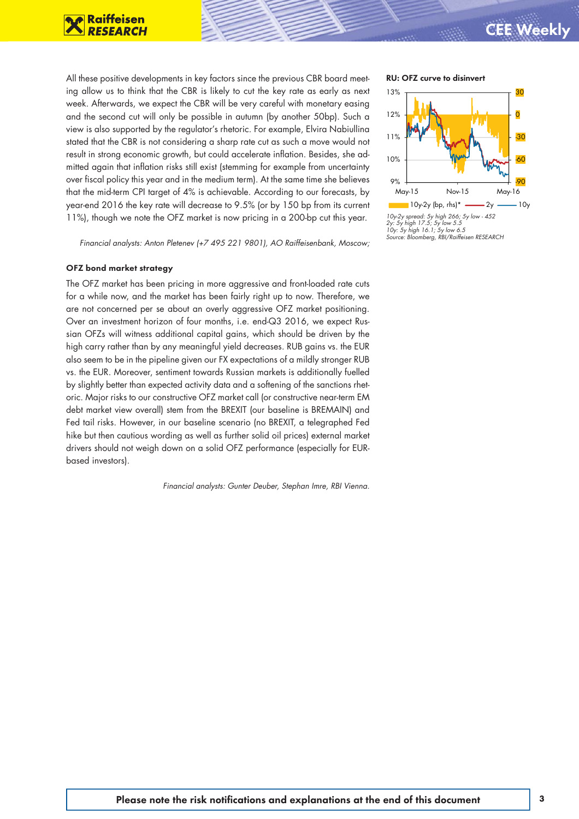

All these positive developments in key factors since the previous CBR board meet- RU: OFZ curve to disinvert ing allow us to think that the CBR is likely to cut the key rate as early as next week. Afterwards, we expect the CBR will be very careful with monetary easing and the second cut will only be possible in autumn (by another 50bp). Such a view is also supported by the regulator's rhetoric. For example, Elvira Nabiullina stated that the CBR is not considering a sharp rate cut as such a move would not result in strong economic growth, but could accelerate inflation. Besides, she admitted again that inflation risks still exist (stemming for example from uncertainty over fiscal policy this year and in the medium term). At the same time she believes that the mid-term CPI target of 4% is achievable. According to our forecasts, by year-end 2016 the key rate will decrease to 9.5% (or by 150 bp from its current 11%), though we note the OFZ market is now pricing in a 200-bp cut this year.

*Financial analysts: Anton Pletenev (+7 495 221 9801), AO Raiffeisenbank, Moscow;*

#### OFZ bond market strategy

The OFZ market has been pricing in more aggressive and front-loaded rate cuts for a while now, and the market has been fairly right up to now. Therefore, we are not concerned per se about an overly aggressive OFZ market positioning. Over an investment horizon of four months, i.e. end-Q3 2016, we expect Russian OFZs will witness additional capital gains, which should be driven by the high carry rather than by any meaningful yield decreases. RUB gains vs. the EUR also seem to be in the pipeline given our FX expectations of a mildly stronger RUB vs. the EUR. Moreover, sentiment towards Russian markets is additionally fuelled by slightly better than expected activity data and a softening of the sanctions rhetoric. Major risks to our constructive OFZ market call (or constructive near-term EM debt market view overall) stem from the BREXIT (our baseline is BREMAIN) and Fed tail risks. However, in our baseline scenario (no BREXIT, a telegraphed Fed hike but then cautious wording as well as further solid oil prices) external market drivers should not weigh down on a solid OFZ performance (especially for EURbased investors).

*Financial analysts: Gunter Deuber, Stephan Imre, RBI Vienna.*



*10y-2y spread: 5y high 266; 5y low - 452 2y: 5y high 17.5; 5y low 5.5 10y: 5y high 16.1; 5y low 6.5 Source: Bloomberg, RBI/Raiffeisen RESEARCH*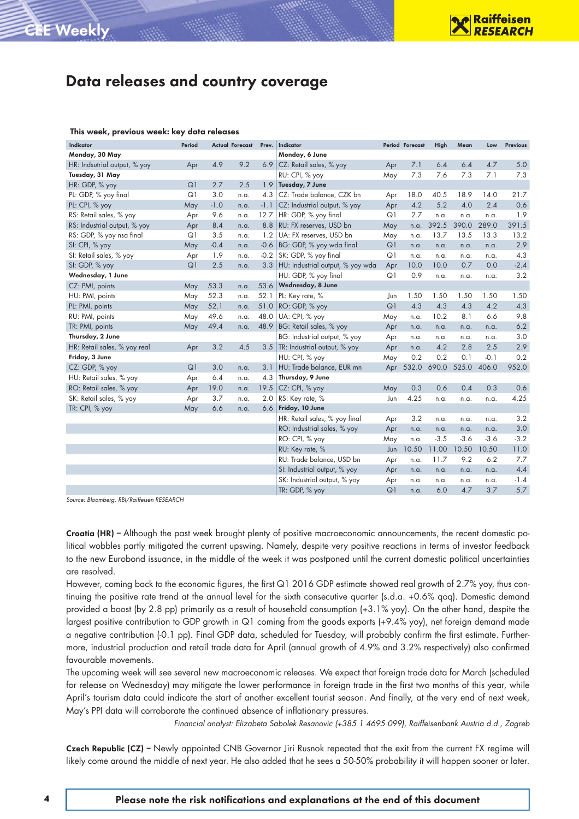#### This week, previous week: key data releases

CEE Weekly

| <b>Indicator</b>             | Period |        | <b>Actual Forecast</b> | Prev.  | Indicator                        |                | Period Forecast | High   | Mean   | Low    | Previous |
|------------------------------|--------|--------|------------------------|--------|----------------------------------|----------------|-----------------|--------|--------|--------|----------|
| Monday, 30 May               |        |        |                        |        | Monday, 6 June                   |                |                 |        |        |        |          |
| HR: Indsutrial output, % yoy | Apr    | 4.9    | 9.2                    | 6.9    | CZ: Retail sales, % yoy          | Apr            | 7.1             | 6.4    | 6.4    | 4.7    | 5.0      |
| Tuesday, 31 May              |        |        |                        |        | RU: CPI, % yoy                   | May            | 7.3             | 7.6    | 7.3    | 7.1    | 7.3      |
| HR: GDP, % yoy               | Q1     | 2.7    | 2.5                    | 1.9    | Tuesday, 7 June                  |                |                 |        |        |        |          |
| PL: GDP, % yoy final         | Q1     | 3.0    | n.a.                   | 4.3    | CZ: Trade balance, CZK bn        | Apr            | 18.0            | 40.5   | 18.9   | 14.0   | 21.7     |
| PL: CPI, % yoy               | May    | $-1.0$ | n.a.                   | $-1.1$ | CZ: Industrial output, % yoy     | Apr            | 4.2             | 5.2    | 4.0    | 2.4    | 0.6      |
| RS: Retail sales, % yoy      | Apr    | 9.6    | n.a.                   | 12.7   | HR: GDP, % yoy final             | Q1             | 2.7             | n.a.   | n.a.   | n.a.   | 1.9      |
| RS: Industrial output, % yoy | Apr    | 8.4    | n.a.                   | 8.8    | RU: FX reserves, USD bn          | May            | n.a.            | 392.5  | 390.0  | 289.0  | 391.5    |
| RS: GDP, % yoy nsa final     | Q1     | 3.5    | n.a.                   | 1.2    | UA: FX reserves, USD bn          | May            | n.a.            | 13.7   | 13.5   | 13.3   | 13.2     |
| SI: CPI, % yoy               | May    | $-0.4$ | n.a.                   | $-0.6$ | BG: GDP, % yoy wda final         | Q1             | n.a.            | n.a.   | n.a.   | n.a.   | 2.9      |
| SI: Retail sales, % yoy      | Apr    | 1.9    | n.a.                   | $-0.2$ | SK: GDP, % yoy final             | Q1             | n.a.            | n.a.   | n.a.   | n.a.   | 4.3      |
| SI: GDP, % yoy               | Q1     | 2.5    | n.a.                   | 3.3    | HU: Industrial output, % yoy wda | Apr            | 10.0            | 10.0   | 0.7    | 0.0    | $-2.4$   |
| Wednesday, 1 June            |        |        |                        |        | HU: GDP, % yoy final             | Q1             | 0.9             | n.a.   | n.a.   | n.a.   | 3.2      |
| CZ: PMI, points              | May    | 53.3   | n.a.                   | 53.6   | Wednesday, 8 June                |                |                 |        |        |        |          |
| HU: PMI, points              | May    | 52.3   | n.a.                   | 52.1   | PL: Key rate, %                  | Jun            | 1.50            | 1.50   | 1.50   | 1.50   | 1.50     |
| PL: PMI, points              | May    | 52.1   | n.a.                   | 51.0   | RO: GDP, % yoy                   | Q <sub>1</sub> | 4.3             | 4.3    | 4.3    | 4.2    | 4.3      |
| RU: PMI, points              | May    | 49.6   | n.a.                   | 48.0   | UA: CPI, % yoy                   | May            | n.a.            | 10.2   | 8.1    | 6.6    | 9.8      |
| TR: PMI, points              | May    | 49.4   | n.a.                   | 48.9   | BG: Retail sales, % yoy          | Apr            | n.a.            | n.a.   | n.a.   | n.a.   | 6.2      |
| Thursday, 2 June             |        |        |                        |        | BG: Industrial output, % yoy     | Apr            | n.a.            | n.a.   | n.a.   | n.a.   | 3.0      |
| HR: Retail sales, % yoy real | Apr    | 3.2    | 4.5                    | 3.5    | TR: Industrial output, % yoy     | Apr            | n.a.            | 4.2    | 2.8    | 2.5    | 2.9      |
| Friday, 3 June               |        |        |                        |        | HU: CPI, % yoy                   | May            | 0.2             | 0.2    | 0.1    | $-0.1$ | 0.2      |
| CZ: GDP, % yoy               | Q1     | 3.0    | n.a.                   | 3.1    | HU: Trade balance, EUR mn        | Apr            | 532.0           | 690.0  | 525.0  | 406.0  | 952.0    |
| HU: Retail sales, % yoy      | Apr    | 6.4    | n.a.                   | 4.3    | Thursday, 9 June                 |                |                 |        |        |        |          |
| RO: Retail sales, % yoy      | Apr    | 19.0   | n.a.                   | 19.5   | CZ: CPI, % yoy                   | May            | 0.3             | 0.6    | 0.4    | 0.3    | 0.6      |
| SK: Retail sales, % yoy      | Apr    | 3.7    | n.a.                   | 2.0    | RS: Key rate, %                  | Jun            | 4.25            | n.a.   | n.a.   | n.a.   | 4.25     |
| TR: CPI, % yoy               | May    | 6.6    | n.a.                   | 6.6    | Friday, 10 June                  |                |                 |        |        |        |          |
|                              |        |        |                        |        | HR: Retail sales, % yoy final    | Apr            | 3.2             | n.a.   | n.a.   | n.a.   | 3.2      |
|                              |        |        |                        |        | RO: Industrial sales, % yoy      | Apr            | n.a.            | n.a.   | n.a.   | n.a.   | 3.0      |
|                              |        |        |                        |        | RO: CPI, % yoy                   | May            | n.a.            | $-3.5$ | $-3.6$ | $-3.6$ | $-3.2$   |
|                              |        |        |                        |        | RU: Key rate, %                  | Jun            | 10.50           | 11.00  | 10.50  | 10.50  | 11.0     |
|                              |        |        |                        |        | RU: Trade balance, USD bn        | Apr            | n.a.            | 11.7   | 9.2    | 6.2    | 7.7      |
|                              |        |        |                        |        | SI: Industrial output, % yoy     | Apr            | n.a.            | n.a.   | n.a.   | n.a.   | 4.4      |
|                              |        |        |                        |        | SK: Industrial output, % yoy     | Apr            | n.a.            | n.a.   | n.a.   | n.a.   | $-1.4$   |
|                              |        |        |                        |        | TR: GDP, % yoy                   | Q1             | n.a.            | 6.0    | 4.7    | 3.7    | 5.7      |

*Source: Bloomberg, RBI/Raiffeisen RESEARCH*

Croatia (HR) – Although the past week brought plenty of positive macroeconomic announcements, the recent domestic political wobbles partly mitigated the current upswing. Namely, despite very positive reactions in terms of investor feedback to the new Eurobond issuance, in the middle of the week it was postponed until the current domestic political uncertainties are resolved.

However, coming back to the economic figures, the first Q1 2016 GDP estimate showed real growth of 2.7% yoy, thus continuing the positive rate trend at the annual level for the sixth consecutive quarter (s.d.a. +0.6% qoq). Domestic demand provided a boost (by 2.8 pp) primarily as a result of household consumption (+3.1% yoy). On the other hand, despite the largest positive contribution to GDP growth in Q1 coming from the goods exports (+9.4% yoy), net foreign demand made a negative contribution (-0.1 pp). Final GDP data, scheduled for Tuesday, will probably confirm the first estimate. Furthermore, industrial production and retail trade data for April (annual growth of 4.9% and 3.2% respectively) also confirmed favourable movements.

The upcoming week will see several new macroeconomic releases. We expect that foreign trade data for March (scheduled for release on Wednesday) may mitigate the lower performance in foreign trade in the first two months of this year, while April's tourism data could indicate the start of another excellent tourist season. And finally, at the very end of next week, May's PPI data will corroborate the continued absence of inflationary pressures.

*Financial analyst: Elizabeta Sabolek Resanovic (+385 1 4695 099), Raiffeisenbank Austria d.d., Zagreb*

Czech Republic (CZ) - Newly appointed CNB Governor Jiri Rusnok repeated that the exit from the current FX regime will likely come around the middle of next year. He also added that he sees a 50-50% probability it will happen sooner or later.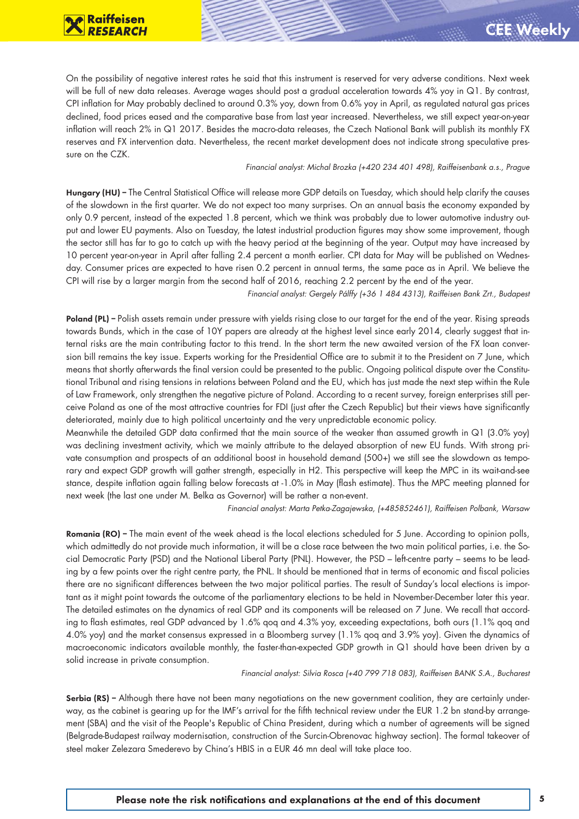On the possibility of negative interest rates he said that this instrument is reserved for very adverse conditions. Next week will be full of new data releases. Average wages should post a gradual acceleration towards 4% yoy in Q1. By contrast, CPI inflation for May probably declined to around 0.3% yoy, down from 0.6% yoy in April, as regulated natural gas prices declined, food prices eased and the comparative base from last year increased. Nevertheless, we still expect year-on-year inflation will reach 2% in Q1 2017. Besides the macro-data releases, the Czech National Bank will publish its monthly FX reserves and FX intervention data. Nevertheless, the recent market development does not indicate strong speculative pressure on the CZK.

#### *Financial analyst: Michal Brozka (+420 234 401 498), Raiffeisenbank a.s., Prague*

Hungary (HU) – The Central Statistical Office will release more GDP details on Tuesday, which should help clarify the causes of the slowdown in the first quarter. We do not expect too many surprises. On an annual basis the economy expanded by only 0.9 percent, instead of the expected 1.8 percent, which we think was probably due to lower automotive industry output and lower EU payments. Also on Tuesday, the latest industrial production figures may show some improvement, though the sector still has far to go to catch up with the heavy period at the beginning of the year. Output may have increased by 10 percent year-on-year in April after falling 2.4 percent a month earlier. CPI data for May will be published on Wednesday. Consumer prices are expected to have risen 0.2 percent in annual terms, the same pace as in April. We believe the CPI will rise by a larger margin from the second half of 2016, reaching 2.2 percent by the end of the year.

*Financial analyst: Gergely Pálffy (+36 1 484 4313), Raiffeisen Bank Zrt., Budapest*

Poland (PL) – Polish assets remain under pressure with yields rising close to our target for the end of the year. Rising spreads towards Bunds, which in the case of 10Y papers are already at the highest level since early 2014, clearly suggest that internal risks are the main contributing factor to this trend. In the short term the new awaited version of the FX loan conversion bill remains the key issue. Experts working for the Presidential Office are to submit it to the President on 7 June, which means that shortly afterwards the final version could be presented to the public. Ongoing political dispute over the Constitutional Tribunal and rising tensions in relations between Poland and the EU, which has just made the next step within the Rule of Law Framework, only strengthen the negative picture of Poland. According to a recent survey, foreign enterprises still perceive Poland as one of the most attractive countries for FDI (just after the Czech Republic) but their views have significantly deteriorated, mainly due to high political uncertainty and the very unpredictable economic policy.

Meanwhile the detailed GDP data confirmed that the main source of the weaker than assumed growth in Q1 (3.0% yoy) was declining investment activity, which we mainly attribute to the delayed absorption of new EU funds. With strong private consumption and prospects of an additional boost in household demand (500+) we still see the slowdown as temporary and expect GDP growth will gather strength, especially in H2. This perspective will keep the MPC in its wait-and-see stance, despite inflation again falling below forecasts at -1.0% in May (flash estimate). Thus the MPC meeting planned for next week (the last one under M. Belka as Governor) will be rather a non-event.

*Financial analyst: Marta Petka-Zagajewska, (+485852461), Raiffeisen Polbank, Warsaw*

Romania (RO) – The main event of the week ahead is the local elections scheduled for 5 June. According to opinion polls, which admittedly do not provide much information, it will be a close race between the two main political parties, i.e. the Social Democratic Party (PSD) and the National Liberal Party (PNL). However, the PSD – left-centre party – seems to be leading by a few points over the right centre party, the PNL. It should be mentioned that in terms of economic and fiscal policies there are no significant differences between the two major political parties. The result of Sunday's local elections is important as it might point towards the outcome of the parliamentary elections to be held in November-December later this year. The detailed estimates on the dynamics of real GDP and its components will be released on 7 June. We recall that according to flash estimates, real GDP advanced by 1.6% qoq and 4.3% yoy, exceeding expectations, both ours (1.1% qoq and 4.0% yoy) and the market consensus expressed in a Bloomberg survey (1.1% qoq and 3.9% yoy). Given the dynamics of macroeconomic indicators available monthly, the faster-than-expected GDP growth in Q1 should have been driven by a solid increase in private consumption.

*Financial analyst: Silvia Rosca (+40 799 718 083), Raiffeisen BANK S.A., Bucharest*

Serbia (RS) – Although there have not been many negotiations on the new government coalition, they are certainly underway, as the cabinet is gearing up for the IMF's arrival for the fifth technical review under the EUR 1.2 bn stand-by arrangement (SBA) and the visit of the People's Republic of China President, during which a number of agreements will be signed (Belgrade-Budapest railway modernisation, construction of the Surcin-Obrenovac highway section). The formal takeover of steel maker Zelezara Smederevo by China's HBIS in a EUR 46 mn deal will take place too.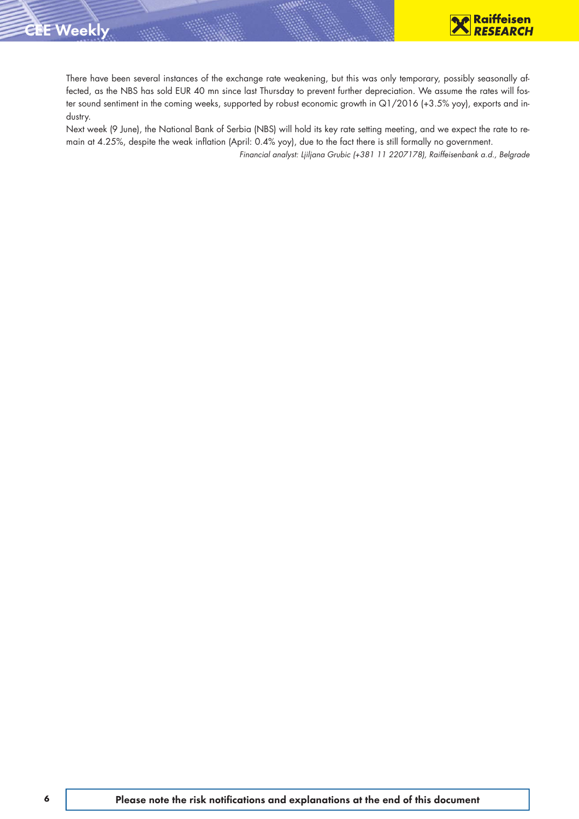

There have been several instances of the exchange rate weakening, but this was only temporary, possibly seasonally affected, as the NBS has sold EUR 40 mn since last Thursday to prevent further depreciation. We assume the rates will foster sound sentiment in the coming weeks, supported by robust economic growth in Q1/2016 (+3.5% yoy), exports and industry.

Next week (9 June), the National Bank of Serbia (NBS) will hold its key rate setting meeting, and we expect the rate to remain at 4.25%, despite the weak inflation (April: 0.4% yoy), due to the fact there is still formally no government.

*Financial analyst: Ljiljana Grubic (+381 11 2207178), Raiffeisenbank a.d., Belgrade*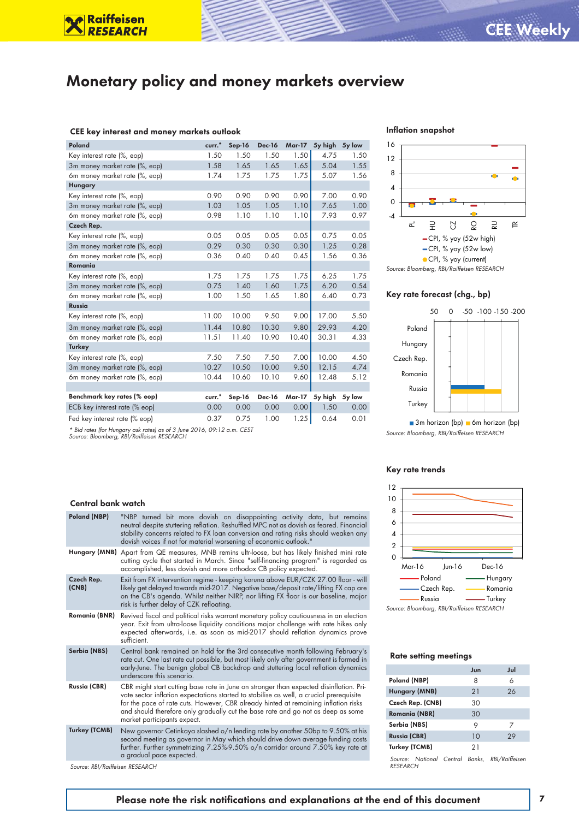### Monetary policy and money markets overview

#### CEE key interest and money markets outlook

**Raiffeisen**<br>RESEARCH

| Poland                        | curr. <sup>*</sup> | $Sep-16$ | <b>Dec-16</b> | <b>Mar-17</b> | 5y high | 5y low |
|-------------------------------|--------------------|----------|---------------|---------------|---------|--------|
| Key interest rate (%, eop)    | 1.50               | 1.50     | 1.50          | 1.50          | 4.75    | 1.50   |
| 3m money market rate (%, eop) | 1.58               | 1.65     | 1.65          | 1.65          | 5.04    | 1.55   |
| 6m money market rate (%, eop) | 1.74               | 1.75     | 1.75          | 1.75          | 5.07    | 1.56   |
| Hungary                       |                    |          |               |               |         |        |
| Key interest rate (%, eop)    | 0.90               | 0.90     | 0.90          | 0.90          | 7.00    | 0.90   |
| 3m money market rate (%, eop) | 1.03               | 1.05     | 1.05          | 1.10          | 7.65    | 1.00   |
| 6m money market rate (%, eop) | 0.98               | 1.10     | 1.10          | 1.10          | 7.93    | 0.97   |
| Czech Rep.                    |                    |          |               |               |         |        |
| Key interest rate (%, eop)    | 0.05               | 0.05     | 0.05          | 0.05          | 0.75    | 0.05   |
| 3m money market rate (%, eop) | 0.29               | 0.30     | 0.30          | 0.30          | 1.25    | 0.28   |
| 6m money market rate (%, eop) | 0.36               | 0.40     | 0.40          | 0.45          | 1.56    | 0.36   |
| Romania                       |                    |          |               |               |         |        |
| Key interest rate (%, eop)    | 1.75               | 1.75     | 1.75          | 1.75          | 6.25    | 1.75   |
| 3m money market rate (%, eop) | 0.75               | 1.40     | 1.60          | 1.75          | 6.20    | 0.54   |
| 6m money market rate (%, eop) | 1.00               | 1.50     | 1.65          | 1.80          | 6.40    | 0.73   |
| <b>Russia</b>                 |                    |          |               |               |         |        |
| Key interest rate (%, eop)    | 11.00              | 10.00    | 9.50          | 9.00          | 17.00   | 5.50   |
| 3m money market rate (%, eop) | 11.44              | 10.80    | 10.30         | 9.80          | 29.93   | 4.20   |
| 6m money market rate (%, eop) | 11.51              | 11.40    | 10.90         | 10.40         | 30.31   | 4.33   |
| <b>Turkey</b>                 |                    |          |               |               |         |        |
| Key interest rate (%, eop)    | 7.50               | 7.50     | 7.50          | 7.00          | 10.00   | 4.50   |
| 3m money market rate (%, eop) | 10.27              | 10.50    | 10.00         | 9.50          | 12.15   | 4.74   |
| 6m money market rate (%, eop) | 10.44              | 10.60    | 10.10         | 9.60          | 12.48   | 5.12   |
|                               |                    |          |               |               |         |        |
| Benchmark key rates (% eop)   | curr. <sup>*</sup> | Sep-16   | <b>Dec-16</b> | Mar-17        | 5y high | 5y low |
| ECB key interest rate (% eop) | 0.00               | 0.00     | 0.00          | 0.00          | 1.50    | 0.00   |
| Fed key interest rate (% eop) | 0.37               | 0.75     | 1.00          | 1.25          | 0.64    | 0.01   |



#### Inflation snapshot



#### Key rate forecast (chg., bp)



 $\Box$  3m horizon (bp)  $\Box$  6m horizon (bp) *Source: Bloomberg, RBI/Raiffeisen RESEARCH*

#### Key rate trends



*Source: Bloomberg, RBI/Raiffeisen RESEARCH*

#### Rate setting meetings

|                                                            | Jun | Jul |
|------------------------------------------------------------|-----|-----|
| Poland (NBP)                                               | 8   | 6   |
| Hungary (MNB)                                              | 21  | 26  |
| Czech Rep. (CNB)                                           | 30  |     |
| <b>Romania (NBR)</b>                                       | 30  |     |
| Serbia (NBS)                                               | 9   | 7   |
| <b>Russia (CBR)</b>                                        | 10  | 29  |
| Turkey (TCMB)                                              | 21  |     |
| Source: National Central Banks. RBI/Raiffeisen<br>RESEARCH |     |     |

#### Central bank watch

| Poland (NBP)         | "NBP turned bit more dovish on disappointing activity data, but remains<br>neutral despite stuttering reflation. Reshuffled MPC not as dovish as feared. Financial<br>stability concerns related to FX loan conversion and rating risks should weaken any<br>dovish voices if not for material worsening of economic outlook."                                                              |
|----------------------|---------------------------------------------------------------------------------------------------------------------------------------------------------------------------------------------------------------------------------------------------------------------------------------------------------------------------------------------------------------------------------------------|
|                      | Hungary (MNB) Apart from QE measures, MNB remins ultr-loose, but has likely finished mini rate<br>cutting cycle that started in March. Since "self-financing program" is regarded as<br>accomplished, less dovish and more orthodox CB policy expected.                                                                                                                                     |
| Czech Rep.<br>(CNB)  | Exit from FX intervention regime - keeping koruna above EUR/CZK 27.00 floor - will<br>likely get delayed towards mid-2017. Negative base/deposit rate/lifting FX cap are<br>on the CB's agenda. Whilst neither NIRP, nor lifting FX floor is our baseline, major<br>risk is further delay of CZK refloating.                                                                                |
| Romania (BNR)        | Revived fiscal and political risks warrant monetary policy cautiousness in an election<br>year. Exit from ultra-loose liquidity conditions major challenge with rate hikes only<br>expected afterwards, i.e. as soon as mid-2017 should reflation dynamics prove<br>sufficient.                                                                                                             |
| Serbia (NBS)         | Central bank remained on hold for the 3rd consecutive month following February's<br>rate cut. One last rate cut possible, but most likely only after government is formed in<br>early-June. The benign global CB backdrop and stuttering local reflation dynamics<br>underscore this scenario.                                                                                              |
| <b>Russia (CBR)</b>  | CBR might start cutting base rate in June on stronger than expected disinflation. Pri-<br>vate sector inflation expectations started to stabilise as well, a crucial prerequisite<br>for the pace of rate cuts. However, CBR already hinted at remaining inflation risks<br>and should therefore only gradually cut the base rate and go not as deep as some<br>market participants expect. |
| <b>Turkey (TCMB)</b> | New governor Cetinkaya slashed o/n lending rate by another 50bp to 9.50% at his<br>second meeting as governor in May which should drive down average funding costs<br>further. Further symmetrizing 7.25%-9.50% o/n corridor around 7.50% key rate at<br>a gradual pace expected.                                                                                                           |

*Source: RBI/Raiffeisen RESEARCH*

#### Please note the risk notifications and explanations at the end of this document 7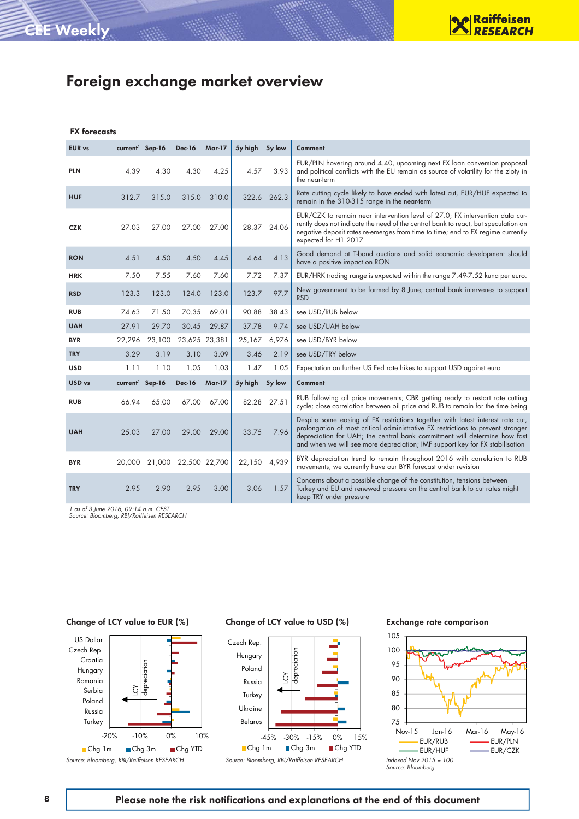### Foreign exchange market overview

#### FX forecasts

| <b>EUR vs</b> | current <sup>1</sup> Sep-16 |        | <b>Dec-16</b>        | <b>Mar-17</b> | 5y high 5y low |        | Comment                                                                                                                                                                                                                                                                                                                         |
|---------------|-----------------------------|--------|----------------------|---------------|----------------|--------|---------------------------------------------------------------------------------------------------------------------------------------------------------------------------------------------------------------------------------------------------------------------------------------------------------------------------------|
| <b>PLN</b>    | 4.39                        | 4.30   | 4.30                 | 4.25          | 4.57           | 3.93   | EUR/PLN hovering around 4.40, upcoming next FX loan conversion proposal<br>and political conflicts with the EU remain as source of volatility for the zloty in<br>the near-term                                                                                                                                                 |
| <b>HUF</b>    | 312.7                       | 315.0  | 315.0                | 310.0         | 322.6          | 262.3  | Rate cutting cycle likely to have ended with latest cut, EUR/HUF expected to<br>remain in the 310-315 range in the near-term                                                                                                                                                                                                    |
| <b>CZK</b>    | 27.03                       | 27.00  | 27.00                | 27.00         | 28.37          | 24.06  | EUR/CZK to remain near intervention level of 27.0; FX intervention data cur-<br>rently does not indicate the need of the central bank to react, but speculation on<br>negative deposit rates re-emerges from time to time; end to FX regime currently<br>expected for H1 2017                                                   |
| <b>RON</b>    | 4.51                        | 4.50   | 4.50                 | 4.45          | 4.64           | 4.13   | Good demand at T-bond auctions and solid economic development should<br>have a positive impact on RON                                                                                                                                                                                                                           |
| <b>HRK</b>    | 7.50                        | 7.55   | 7.60                 | 7.60          | 7.72           | 7.37   | EUR/HRK trading range is expected within the range 7.49-7.52 kuna per euro.                                                                                                                                                                                                                                                     |
| <b>RSD</b>    | 123.3                       | 123.0  | 124.0                | 123.0         | 123.7          | 97.7   | New government to be formed by 8 June; central bank intervenes to support<br><b>RSD</b>                                                                                                                                                                                                                                         |
| <b>RUB</b>    | 74.63                       | 71.50  | 70.35                | 69.01         | 90.88          | 38.43  | see USD/RUB below                                                                                                                                                                                                                                                                                                               |
| <b>UAH</b>    | 27.91                       | 29.70  | 30.45                | 29.87         | 37.78          | 9.74   | see USD/UAH below                                                                                                                                                                                                                                                                                                               |
| <b>BYR</b>    | 22,296                      | 23,100 | 23,625 23,381        |               | 25,167         | 6,976  | see USD/BYR below                                                                                                                                                                                                                                                                                                               |
| <b>TRY</b>    | 3.29                        | 3.19   | 3.10                 | 3.09          | 3.46           | 2.19   | see USD/TRY below                                                                                                                                                                                                                                                                                                               |
| <b>USD</b>    | 1.11                        | 1.10   | 1.05                 | 1.03          | 1.47           | 1.05   | Expectation on further US Fed rate hikes to support USD against euro                                                                                                                                                                                                                                                            |
| USD vs        | current <sup>1</sup> Sep-16 |        | <b>Dec-16</b>        | <b>Mar-17</b> | 5y high        | 5y low | Comment                                                                                                                                                                                                                                                                                                                         |
| <b>RUB</b>    | 66.94                       | 65.00  | 67.00                | 67.00         | 82.28          | 27.51  | RUB following oil price movements; CBR getting ready to restart rate cutting<br>cycle; close correlation between oil price and RUB to remain for the time being                                                                                                                                                                 |
| <b>UAH</b>    | 25.03                       | 27.00  | 29.00                | 29.00         | 33.75          | 7.96   | Despite some easing of FX restrictions together with latest interest rate cut,<br>prolongation of most critical administrative FX restrictions to prevent stronger<br>depreciation for UAH; the central bank commitment will determine how fast<br>and when we will see more depreciation; IMF support key for FX stabilisation |
| <b>BYR</b>    | 20,000                      |        | 21,000 22,500 22,700 |               | 22,150         | 4,939  | BYR depreciation trend to remain throughout 2016 with correlation to RUB<br>movements, we currently have our BYR forecast under revision                                                                                                                                                                                        |
| <b>TRY</b>    | 2.95                        | 2.90   | 2.95                 | 3.00          | 3.06           | 1.57   | Concerns about a possible change of the constitution, tensions between<br>Turkey and EU and renewed pressure on the central bank to cut rates might<br>keep TRY under pressure                                                                                                                                                  |

*1 as of 3 June 2016, 09:14 a.m. CEST Source: Bloomberg, RBI/Raiffeisen RESEARCH*

#### Change of LCY value to EUR (%)



Change of LCY value to USD (%)



#### Exchange rate comparison



8 Please note the risk notifications and explanations at the end of this document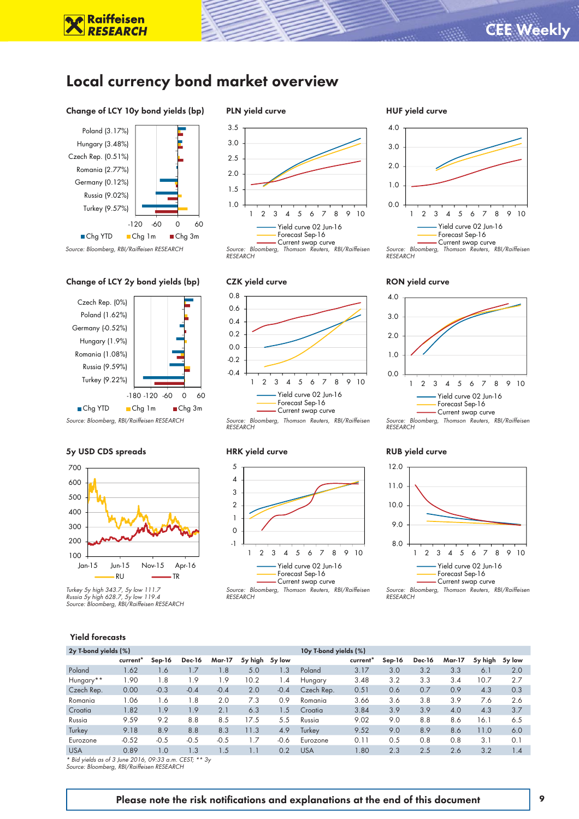### Local currency bond market overview

#### Change of LCY 10y bond yields (bp)

**Raiffeisen**<br>*RESEARCH* 



#### *Source: Bloomberg, RBI/Raiffeisen RESEARCH*

#### Change of LCY 2y bond yields (bp)



#### 5y USD CDS spreads



*Turkey 5y high 343.7, 5y low 111.7 Russia 5y high 628.7, 5y low 119.4 Source: Bloomberg, RBI/Raiffeisen RESEARCH*

#### PLN yield curve







*RESEARCH*



# RUB yield curve

*RESEARCH*

0.0 1.0 2.0

3.0 4.0

HUF yield curve

*RESEARCH*

RON yield curve

0.0

1.0 2.0 3.0

4.0



*Source: Bloomberg, Thomson Reuters, RBI/Raiffeisen* 

1 2 3 4 5 6 7 8 9 10 Yield curve 02 Jun-16 Forecast Sep-16 Current swap curve

*Source: Bloomberg, Thomson Reuters, RBI/Raiffeisen* 

1 2 3 4 5 6 7 8 9 10 Yield curve 02 Jun-16 Forecast Sep-16 Current swap curve

*Source: Bloomberg, Thomson Reuters, RBI/Raiffeisen RESEARCH*

#### Yield forecasts

| 2y T-bond yields (%)                                       |                      |          |               |               |         |        | 10y T-bond yields (%) |          |          |               |               |         |        |
|------------------------------------------------------------|----------------------|----------|---------------|---------------|---------|--------|-----------------------|----------|----------|---------------|---------------|---------|--------|
|                                                            | current <sup>*</sup> | $Sep-16$ | <b>Dec-16</b> | <b>Mar-17</b> | 5y high | 5y low |                       | current' | $Sep-16$ | <b>Dec-16</b> | <b>Mar-17</b> | 5y high | 5y low |
| Poland                                                     | 1.62                 | 1.6      | 1.7           | 1.8           | 5.0     | 1.3    | Poland                | 3.17     | 3.0      | 3.2           | 3.3           | 6.1     | 2.0    |
| Hungary**                                                  | 1.90                 | 1.8      | 1.9           | 1.9           | 10.2    | 1.4    | Hungary               | 3.48     | 3.2      | 3.3           | 3.4           | 10.7    | 2.7    |
| Czech Rep.                                                 | 0.00                 | $-0.3$   | $-0.4$        | $-0.4$        | 2.0     | $-0.4$ | Czech Rep.            | 0.51     | 0.6      | 0.7           | 0.9           | 4.3     | 0.3    |
| Romania                                                    | 1.06                 | 1.6      | 1.8           | 2.0           | 7.3     | 0.9    | Romania               | 3.66     | 3.6      | 3.8           | 3.9           | 7.6     | 2.6    |
| Croatia                                                    | 1.82                 | 1.9      | 1.9           | 2.1           | 6.3     | 1.5    | Croatia               | 3.84     | 3.9      | 3.9           | 4.0           | 4.3     | 3.7    |
| Russia                                                     | 9.59                 | 9.2      | 8.8           | 8.5           | 17.5    | 5.5    | Russia                | 9.02     | 9.0      | 8.8           | 8.6           | 16.1    | 6.5    |
| Turkey                                                     | 9.18                 | 8.9      | 8.8           | 8.3           | 11.3    | 4.9    | Turkey                | 9.52     | 9.0      | 8.9           | 8.6           | 11.0    | 6.0    |
| Eurozone                                                   | $-0.52$              | $-0.5$   | $-0.5$        | $-0.5$        | 1.7     | -0.6   | Eurozone              | 0.11     | 0.5      | 0.8           | 0.8           | 3.1     | 0.1    |
| <b>USA</b>                                                 | 0.89                 | 1.0      | 1.3           | 1.5           | 1.1     | 0.2    | <b>USA</b>            | 1.80     | 2.3      | 2.5           | 2.6           | 3.2     | 1.4    |
| $*$ Rid violds as of 3 lune 2016, 00:33 a.m. CEST: $**$ 3. |                      |          |               |               |         |        |                       |          |          |               |               |         |        |

*\* Bid yields as of 3 June 2016, 09:33 a.m. CEST; \*\* 3y Source: Bloomberg, RBI/Raiffeisen RESEARCH*

#### Please note the risk notifications and explanations at the end of this document 9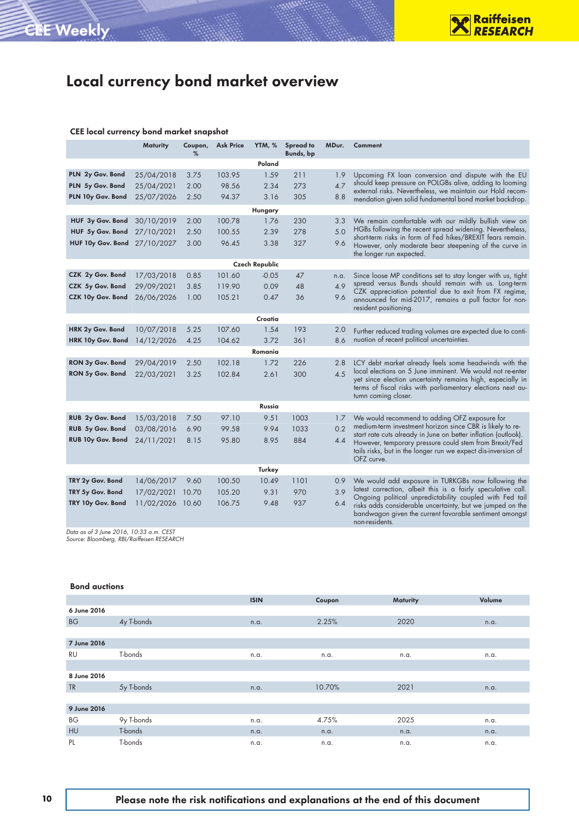## Local currency bond market overview

#### CEE local currency bond market snapshot

|                       | Maturity   | Coupon,<br>% | <b>Ask Price</b> | YTM, %  | <b>Spread to</b><br>Bunds, bp | MDur.            | Comment                                                                                                                 |  |  |  |  |  |
|-----------------------|------------|--------------|------------------|---------|-------------------------------|------------------|-------------------------------------------------------------------------------------------------------------------------|--|--|--|--|--|
|                       |            |              |                  | Poland  |                               |                  |                                                                                                                         |  |  |  |  |  |
| PLN 2y Gov. Bond      | 25/04/2018 | 3.75         | 103.95           | 1.59    | 211                           | 1.9              | Upcoming FX loan conversion and dispute with the EU                                                                     |  |  |  |  |  |
| PLN 5y Gov. Bond      | 25/04/2021 | 2.00         | 98.56            | 2.34    | 273                           | 4.7              | should keep pressure on POLGBs alive, adding to looming                                                                 |  |  |  |  |  |
| PLN 10y Gov. Bond     | 25/07/2026 | 2.50         | 94.37            | 3.16    | 305                           | 8.8              | external risks. Nevertheless, we maintain our Hold recom-<br>mendation given solid fundamental bond market backdrop.    |  |  |  |  |  |
|                       |            |              |                  | Hungary |                               |                  |                                                                                                                         |  |  |  |  |  |
| HUF 3y Gov. Bond      | 30/10/2019 | 2.00         | 100.78           | 1.76    | 230                           | 3.3              | We remain comfortable with our mildly bullish view on                                                                   |  |  |  |  |  |
| HUF 5y Gov. Bond      | 27/10/2021 | 2.50         | 100.55           | 2.39    | 278                           | 5.0              | HGBs following the recent spread widening. Nevertheless,                                                                |  |  |  |  |  |
| HUF 10y Gov. Bond     | 27/10/2027 | 3.00         | 96.45            | 3.38    | 327                           | 9.6              | short-term risks in form of Fed hikes/BREXIT fears remain.<br>However, only moderate bear steepening of the curve in    |  |  |  |  |  |
|                       |            |              |                  |         |                               |                  | the longer run expected.                                                                                                |  |  |  |  |  |
| <b>Czech Republic</b> |            |              |                  |         |                               |                  |                                                                                                                         |  |  |  |  |  |
| CZK 2y Gov. Bond      | 17/03/2018 | 0.85         | 101.60           | $-0.05$ | 47                            | n.a.             | Since loose MP conditions set to stay longer with us, tight                                                             |  |  |  |  |  |
| CZK 5y Gov. Bond      | 29/09/2021 | 3.85         | 119.90           | 0.09    | 48                            | 4.9              | spread versus Bunds should remain with us. Long-term<br>CZK appreciation potential due to exit from FX regime,          |  |  |  |  |  |
| CZK 10y Gov. Bond     | 26/06/2026 | 1.00         | 105.21           | 0.47    | 36                            | 9.6              | announced for mid-2017, remains a pull factor for non-                                                                  |  |  |  |  |  |
|                       |            |              |                  |         |                               |                  | resident positioning.                                                                                                   |  |  |  |  |  |
|                       |            |              |                  | Croatia |                               |                  |                                                                                                                         |  |  |  |  |  |
| HRK 2y Gov. Bond      | 10/07/2018 | 5.25         | 107.60           | 1.54    | 193                           | 2.0              | Further reduced trading volumes are expected due to conti-                                                              |  |  |  |  |  |
| HRK 10y Gov. Bond     | 14/12/2026 | 4.25         | 104.62           | 3.72    | 361                           | 8.6              | nuation of recent political uncertainties.                                                                              |  |  |  |  |  |
|                       |            |              |                  | Romania |                               |                  |                                                                                                                         |  |  |  |  |  |
| RON 3y Gov. Bond      | 29/04/2019 | 2.50         | 102.18           | 1.72    | 226                           | 2.8              | LCY debt market already feels some headwinds with the                                                                   |  |  |  |  |  |
| RON 5y Gov. Bond      | 22/03/2021 | 3.25         | 102.84           | 2.61    | 300                           | $\overline{4}$ 5 | local elections on 5 June imminent. We would not re-enter<br>yet since election uncertainty remains high, especially in |  |  |  |  |  |
|                       |            |              |                  |         |                               |                  | terms of fiscal risks with parliamentary elections next au-                                                             |  |  |  |  |  |
|                       |            |              |                  |         |                               |                  | tumn coming closer.                                                                                                     |  |  |  |  |  |
|                       |            |              |                  | Russia  |                               |                  |                                                                                                                         |  |  |  |  |  |
| RUB 2y Gov. Bond      | 15/03/2018 | 7.50         | 97.10            | 9.51    | 1003                          | 1.7              | We would recommend to adding OFZ exposure for<br>medium-term investment horizon since CBR is likely to re-              |  |  |  |  |  |
| RUB 5y Gov. Bond      | 03/08/2016 | 6.90         | 99.58            | 9.94    | 1033                          | 0.2              | start rate cuts already in June on better inflation (outlook).                                                          |  |  |  |  |  |
| RUB 10y Gov. Bond     | 24/11/2021 | 8.15         | 95.80            | 8.95    | 884                           | 4.4              | However, temporary pressure could stem from Brexit/Fed                                                                  |  |  |  |  |  |
|                       |            |              |                  |         |                               |                  | tails risks, but in the longer run we expect dis-inversion of<br>OFZ curve.                                             |  |  |  |  |  |
|                       |            |              |                  | Turkey  |                               |                  |                                                                                                                         |  |  |  |  |  |
| TRY 2y Gov. Bond      | 14/06/2017 | 9.60         | 100.50           | 10.49   | 1101                          | 0.9              | We would add exposure in TURKGBs now following the                                                                      |  |  |  |  |  |
| TRY 5y Gov. Bond      | 17/02/2021 | 10.70        | 105.20           | 9.31    | 970                           | 3.9              | latest correction, albeit this is a fairly speculative call.                                                            |  |  |  |  |  |
| TRY 10y Gov. Bond     | 11/02/2026 | 10.60        | 106.75           | 9.48    | 937                           | 6.4              | Ongoing political unpredictability coupled with Fed tail<br>risks adds considerable uncertainty, but we jumped on the   |  |  |  |  |  |
|                       |            |              |                  |         |                               |                  | bandwagon given the current favorable sentiment amongst<br>non-residents.                                               |  |  |  |  |  |

*Data as of 3 June 2016, 10:33 a.m. CEST Source: Bloomberg, RBI/Raiffeisen RESEARCH*

#### Bond auctions

|             |            | <b>ISIN</b> | Coupon | Maturity | Volume |
|-------------|------------|-------------|--------|----------|--------|
| 6 June 2016 |            |             |        |          |        |
| <b>BG</b>   | 4y T-bonds | n.a.        | 2.25%  | 2020     | n.a.   |
|             |            |             |        |          |        |
| 7 June 2016 |            |             |        |          |        |
| <b>RU</b>   | T-bonds    | n.a.        | n.a.   | n.a.     | n.a.   |
|             |            |             |        |          |        |
| 8 June 2016 |            |             |        |          |        |
| <b>TR</b>   | 5y T-bonds | n.a.        | 10.70% | 2021     | n.a.   |
|             |            |             |        |          |        |
| 9 June 2016 |            |             |        |          |        |
| BG          | 9y T-bonds | n.a.        | 4.75%  | 2025     | n.a.   |
| HU          | T-bonds    | n.a.        | n.a.   | n.a.     | n.a.   |
| PL.         | T-bonds    | n.a.        | n.a.   | n.a.     | n.a.   |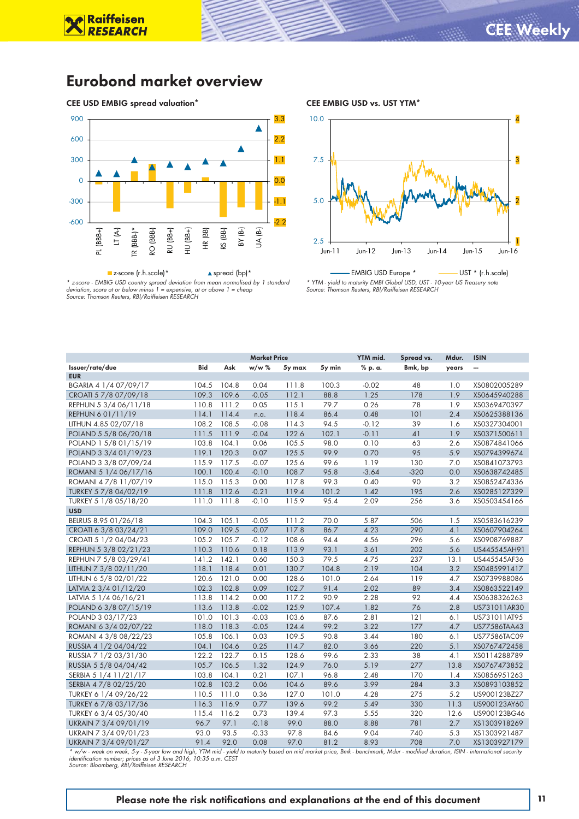4

### Eurobond market overview

CEE USD EMBIG spread valuation\*

**Raiffeisen**<br>RESEARCH



CEE EMBIG USD vs. UST YTM\*

10.0



*\* z-score - EMBIG USD country spread deviation from mean normalised by 1 standard deviation, score at or below minus 1 = expensive, at or above 1 = cheap Source: Thomson Reuters, RBI/Raiffeisen RESEARCH*

EMBIG USD Europe \* The UST \* (r.h.scale) *\* YTM - yield to maturity EMBI Global USD, UST - 10-year US Treasury note Source: Thomson Reuters, RBI/Raiffeisen RESEARCH*

|                       |            |       | <b>Market Price</b> |        |        | YTM mid. | Spread vs. | Mdur. | <b>ISIN</b>     |
|-----------------------|------------|-------|---------------------|--------|--------|----------|------------|-------|-----------------|
| Issuer/rate/due       | <b>Bid</b> | Ask   | w/w %               | 5y max | 5y min | % p. a.  | Bmk, bp    | years | $\qquad \qquad$ |
| <b>EUR</b>            |            |       |                     |        |        |          |            |       |                 |
| BGARIA 4 1/4 07/09/17 | 104.5      | 104.8 | 0.04                | 111.8  | 100.3  | $-0.02$  | 48         | 1.0   | XS0802005289    |
| CROATI 5 7/8 07/09/18 | 109.3      | 109.6 | $-0.05$             | 112.1  | 88.8   | 1.25     | 178        | 1.9   | XS0645940288    |
| REPHUN 5 3/4 06/11/18 | 110.8      | 111.2 | 0.05                | 115.1  | 79.7   | 0.26     | 78         | 1.9   | XS0369470397    |
| REPHUN 6 01/11/19     | 114.1      | 114.4 | n.a.                | 118.4  | 86.4   | 0.48     | 101        | 2.4   | XS0625388136    |
| LITHUN 4.85 02/07/18  | 108.2      | 108.5 | $-0.08$             | 114.3  | 94.5   | $-0.12$  | 39         | 1.6   | XS0327304001    |
| POLAND 5 5/8 06/20/18 | 111.5      | 111.9 | $-0.04$             | 122.6  | 102.1  | $-0.11$  | 41         | 1.9   | XS0371500611    |
| POLAND 1 5/8 01/15/19 | 103.8      | 104.1 | 0.06                | 105.5  | 98.0   | 0.10     | 63         | 2.6   | XS0874841066    |
| POLAND 3 3/4 01/19/23 | 119.1      | 120.3 | 0.07                | 125.5  | 99.9   | 0.70     | 95         | 5.9   | XS0794399674    |
| POLAND 3 3/8 07/09/24 | 115.9      | 117.5 | $-0.07$             | 125.6  | 99.6   | 1.19     | 130        | 7.0   | XS0841073793    |
| ROMANI 5 1/4 06/17/16 | 100.1      | 100.4 | $-0.10$             | 108.7  | 95.8   | $-3.64$  | $-320$     | 0.0   | XS0638742485    |
| ROMANI 47/8 11/07/19  | 115.0      | 115.3 | 0.00                | 117.8  | 99.3   | 0.40     | 90         | 3.2   | XS0852474336    |
| TURKEY 5 7/8 04/02/19 | 111.8      | 112.6 | $-0.21$             | 119.4  | 101.2  | 1.42     | 195        | 2.6   | XS0285127329    |
| TURKEY 5 1/8 05/18/20 | 111.0      | 111.8 | $-0.10$             | 115.9  | 95.4   | 2.09     | 256        | 3.6   | XS0503454166    |
| <b>USD</b>            |            |       |                     |        |        |          |            |       |                 |
| BELRUS 8.95 01/26/18  | 104.3      | 105.1 | $-0.05$             | 111.2  | 70.0   | 5.87     | 506        | 1.5   | XS0583616239    |
| CROATI 6 3/8 03/24/21 | 109.0      | 109.5 | $-0.07$             | 117.8  | 86.7   | 4.23     | 290        | 4.1   | XS0607904264    |
| CROATI 5 1/2 04/04/23 | 105.2      | 105.7 | $-0.12$             | 108.6  | 94.4   | 4.56     | 296        | 5.6   | XS0908769887    |
| REPHUN 5 3/8 02/21/23 | 110.3      | 110.6 | 0.18                | 113.9  | 93.1   | 3.61     | 202        | 5.6   | US445545AH91    |
| REPHUN 7 5/8 03/29/41 | 141.2      | 142.1 | 0.60                | 150.3  | 79.5   | 4.75     | 237        | 13.1  | US445545AF36    |
| LITHUN 7 3/8 02/11/20 | 118.1      | 118.4 | 0.01                | 130.7  | 104.8  | 2.19     | 104        | 3.2   | XS0485991417    |
| LITHUN 6 5/8 02/01/22 | 120.6      | 121.0 | 0.00                | 128.6  | 101.0  | 2.64     | 119        | 4.7   | XS0739988086    |
| LATVIA 2 3/4 01/12/20 | 102.3      | 102.8 | 0.09                | 102.7  | 91.4   | 2.02     | 89         | 3.4   | XS0863522149    |
| LATVIA 5 1/4 06/16/21 | 113.8      | 114.2 | 0.00                | 117.2  | 90.9   | 2.28     | 92         | 4.4   | XS0638326263    |
| POLAND 6 3/8 07/15/19 | 113.6      | 113.8 | $-0.02$             | 125.9  | 107.4  | 1.82     | 76         | 2.8   | US731011AR30    |
| POLAND 3 03/17/23     | 101.0      | 101.3 | $-0.03$             | 103.6  | 87.6   | 2.81     | 121        | 6.1   | US731011AT95    |
| ROMANI 6 3/4 02/07/22 | 118.0      | 118.3 | $-0.05$             | 124.4  | 99.2   | 3.22     | 177        | 4.7   | US77586TAA43    |
| ROMANI 4 3/8 08/22/23 | 105.8      | 106.1 | 0.03                | 109.5  | 90.8   | 3.44     | 180        | 6.1   | US77586TAC09    |
| RUSSIA 4 1/2 04/04/22 | 104.1      | 104.6 | 0.25                | 114.7  | 82.0   | 3.66     | 220        | 5.1   | XS0767472458    |
| RUSSIA 7 1/2 03/31/30 | 122.2      | 122.7 | 0.15                | 128.6  | 99.6   | 2.33     | 38         | 4.1   | XS0114288789    |
| RUSSIA 5 5/8 04/04/42 | 105.7      | 106.5 | 1.32                | 124.9  | 76.0   | 5.19     | 277        | 13.8  | XS0767473852    |
| SERBIA 5 1/4 11/21/17 | 103.8      | 104.1 | 0.21                | 107.1  | 96.8   | 2.48     | 170        | 1.4   | XS0856951263    |
| SERBIA 4 7/8 02/25/20 | 102.8      | 103.2 | 0.06                | 104.6  | 89.6   | 3.99     | 284        | 3.3   | XS0893103852    |
| TURKEY 6 1/4 09/26/22 | 110.5      | 111.0 | 0.36                | 127.0  | 101.0  | 4.28     | 275        | 5.2   | US900123BZ27    |
| TURKEY 6 7/8 03/17/36 | 116.3      | 116.9 | 0.77                | 139.6  | 99.2   | 5.49     | 330        | 11.3  | US900123AY60    |
| TURKEY 6 3/4 05/30/40 | 115.4      | 116.2 | 0.73                | 139.4  | 97.3   | 5.55     | 320        | 12.6  | US900123BG46    |
| UKRAIN 7 3/4 09/01/19 | 96.7       | 97.1  | $-0.18$             | 99.0   | 88.0   | 8.88     | 781        | 2.7   | XS1303918269    |
| UKRAIN 7 3/4 09/01/23 | 93.0       | 93.5  | $-0.33$             | 97.8   | 84.6   | 9.04     | 740        | 5.3   | XS1303921487    |
| UKRAIN 7 3/4 09/01/27 | 91.4       | 92.0  | 0.08                | 97.0   | 81.2   | 8.93     | 708        | 7.0   | XS1303927179    |

*\* w/w - week on week, 5-y - 5-year low and high, YTM mid - yield to maturity based on mid market price, Bmk - benchmark, Mdur - modified duration, ISIN - international security identification number; prices as of 3 June 2016, 10:35 a.m. CEST Source: Bloomberg, RBI/Raiffeisen RESEARCH*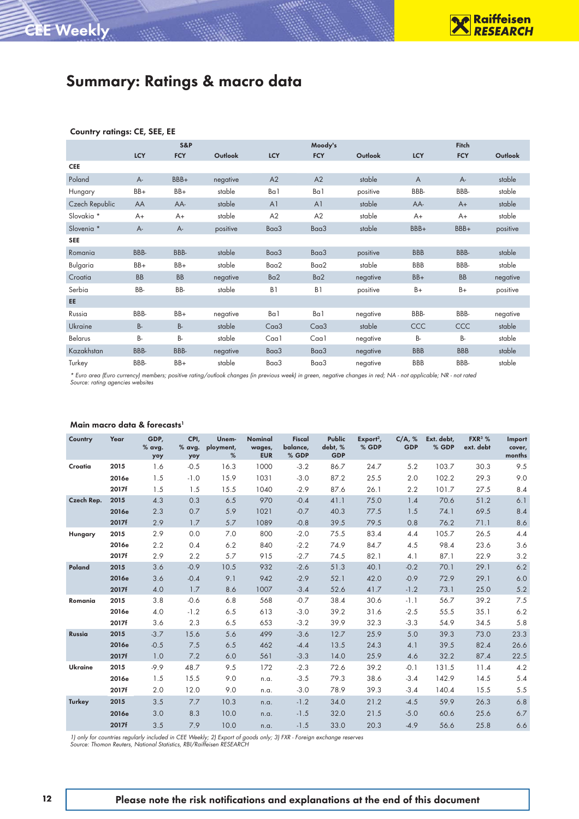|                |            | <b>S&amp;P</b> |          |                   | Moody's           |          |                | Fitch      |                |
|----------------|------------|----------------|----------|-------------------|-------------------|----------|----------------|------------|----------------|
|                | <b>LCY</b> | <b>FCY</b>     | Outlook  | <b>LCY</b>        | <b>FCY</b>        | Outlook  | <b>LCY</b>     | <b>FCY</b> | <b>Outlook</b> |
| <b>CEE</b>     |            |                |          |                   |                   |          |                |            |                |
| Poland         | $A -$      | BBB+           | negative | A2                | A2                | stable   | $\overline{A}$ | $A -$      | stable         |
| Hungary        | $BB+$      | $BB+$          | stable   | Ba1               | Ba 1              | positive | BBB-           | BBB-       | stable         |
| Czech Republic | AA         | AA-            | stable   | A <sub>1</sub>    | A <sup>1</sup>    | stable   | AA-            | $A+$       | stable         |
| Slovakia *     | $A+$       | $A+$           | stable   | A2                | A2                | stable   | $A+$           | $A+$       | stable         |
| Slovenia *     | A-         | А-             | positive | Baa3              | Baa3              | stable   | BBB+           | BBB+       | positive       |
| <b>SEE</b>     |            |                |          |                   |                   |          |                |            |                |
| Romania        | BBB-       | BBB-           | stable   | Baa3              | Baa3              | positive | <b>BBB</b>     | BBB-       | stable         |
| Bulgaria       | BB+        | BB+            | stable   | Baa2              | Baa2              | stable   | BBB            | BBB-       | stable         |
| Croatia        | <b>BB</b>  | <b>BB</b>      | negative | Ba <sub>2</sub>   | Ba2               | negative | BB+            | <b>BB</b>  | negative       |
| Serbia         | BB-        | BB-            | stable   | B1                | B1                | positive | $B+$           | B+         | positive       |
| EE.            |            |                |          |                   |                   |          |                |            |                |
| Russia         | BBB-       | BB+            | negative | Ba1               | Ba 1              | negative | BBB-           | BBB-       | negative       |
| Ukraine        | <b>B-</b>  | <b>B-</b>      | stable   | C <sub>aa</sub> 3 | C <sub>aa</sub> 3 | stable   | CCC            | CCC        | stable         |
| Belarus        | B-         | B-             | stable   | Caa1              | Caa1              | negative | <b>B-</b>      | B-         | stable         |
| Kazakhstan     | BBB-       | BBB-           | negative | Baa3              | Baa3              | negative | <b>BBB</b>     | <b>BBB</b> | stable         |
| Turkey         | BBB-       | BB+            | stable   | Baa3              | Baa3              | negative | <b>BBB</b>     | BBB-       | stable         |

#### Country ratings: CE, SEE, EE

CEE Weekly

*\* Euro area (Euro currency) members; positive rating/outlook changes (in previous week) in green, negative changes in red; NA - not applicable; NR - not rated Source: rating agencies websites*

#### Main macro data & forecasts<sup>1</sup>

| Country        | Year  | GDP.<br>% avg.<br>yoy | CPI,<br>% avg.<br>yoy | Unem-<br>ployment,<br>% | <b>Nominal</b><br>wages,<br><b>EUR</b> | <b>Fiscal</b><br>balance,<br>% GDP | <b>Public</b><br>debt, %<br><b>GDP</b> | $Export2$ ,<br>% GDP | C/A, %<br><b>GDP</b> | Ext. debt.<br>% GDP | $FXR^3$ %<br>ext. debt | Import<br>cover,<br>months |
|----------------|-------|-----------------------|-----------------------|-------------------------|----------------------------------------|------------------------------------|----------------------------------------|----------------------|----------------------|---------------------|------------------------|----------------------------|
| Croatia        | 2015  | 1.6                   | $-0.5$                | 16.3                    | 1000                                   | $-3.2$                             | 86.7                                   | 24.7                 | 5.2                  | 103.7               | 30.3                   | 9.5                        |
|                | 2016e | 1.5                   | $-1.0$                | 15.9                    | 1031                                   | $-3.0$                             | 87.2                                   | 25.5                 | 2.0                  | 102.2               | 29.3                   | 9.0                        |
|                | 2017f | 1.5                   | 1.5                   | 15.5                    | 1040                                   | $-2.9$                             | 87.6                                   | 26.1                 | 2.2                  | 101.7               | 27.5                   | 8.4                        |
| Czech Rep.     | 2015  | 4.3                   | 0.3                   | 6.5                     | 970                                    | $-0.4$                             | 41.1                                   | 75.0                 | 1.4                  | 70.6                | 51.2                   | 6.1                        |
|                | 2016e | 2.3                   | 0.7                   | 5.9                     | 1021                                   | $-0.7$                             | 40.3                                   | 77.5                 | 1.5                  | 74.1                | 69.5                   | 8.4                        |
|                | 2017f | 2.9                   | 1.7                   | 5.7                     | 1089                                   | $-0.8$                             | 39.5                                   | 79.5                 | 0.8                  | 76.2                | 71.1                   | 8.6                        |
| Hungary        | 2015  | 2.9                   | 0.0                   | 7.0                     | 800                                    | $-2.0$                             | 75.5                                   | 83.4                 | 4.4                  | 105.7               | 26.5                   | 4.4                        |
|                | 2016e | 2.2                   | 0.4                   | 6.2                     | 840                                    | $-2.2$                             | 74.9                                   | 84.7                 | 4.5                  | 98.4                | 23.6                   | 3.6                        |
|                | 2017f | 2.9                   | 2.2                   | 5.7                     | 915                                    | $-2.7$                             | 74.5                                   | 82.1                 | 4.1                  | 87.1                | 22.9                   | 3.2                        |
| Poland         | 2015  | 3.6                   | $-0.9$                | 10.5                    | 932                                    | $-2.6$                             | 51.3                                   | 40.1                 | $-0.2$               | 70.1                | 29.1                   | 6.2                        |
|                | 2016e | 3.6                   | $-0.4$                | 9.1                     | 942                                    | $-2.9$                             | 52.1                                   | 42.0                 | $-0.9$               | 72.9                | 29.1                   | 6.0                        |
|                | 2017f | 4.0                   | 1.7                   | 8.6                     | 1007                                   | $-3.4$                             | 52.6                                   | 41.7                 | $-1.2$               | 73.1                | 25.0                   | 5.2                        |
| Romania        | 2015  | 3.8                   | $-0.6$                | 6.8                     | 568                                    | $-0.7$                             | 38.4                                   | 30.6                 | $-1.1$               | 56.7                | 39.2                   | 7.5                        |
|                | 2016e | 4.0                   | $-1.2$                | 6.5                     | 613                                    | $-3.0$                             | 39.2                                   | 31.6                 | $-2.5$               | 55.5                | 35.1                   | 6.2                        |
|                | 2017f | 3.6                   | 2.3                   | 6.5                     | 653                                    | $-3.2$                             | 39.9                                   | 32.3                 | $-3.3$               | 54.9                | 34.5                   | 5.8                        |
| Russia         | 2015  | $-3.7$                | 15.6                  | 5.6                     | 499                                    | $-3.6$                             | 12.7                                   | 25.9                 | 5.0                  | 39.3                | 73.0                   | 23.3                       |
|                | 2016e | $-0.5$                | 7.5                   | 6.5                     | 462                                    | $-4.4$                             | 13.5                                   | 24.3                 | 4.1                  | 39.5                | 82.4                   | 26.6                       |
|                | 2017f | 1.0                   | 7.2                   | 6.0                     | 561                                    | $-3.3$                             | 14.0                                   | 25.9                 | 4.6                  | 32.2                | 87.4                   | 22.5                       |
| <b>Ukraine</b> | 2015  | $-9.9$                | 48.7                  | 9.5                     | 172                                    | $-2.3$                             | 72.6                                   | 39.2                 | $-0.1$               | 131.5               | 11.4                   | 4.2                        |
|                | 2016e | 1.5                   | 15.5                  | 9.0                     | n.a.                                   | $-3.5$                             | 79.3                                   | 38.6                 | $-3.4$               | 142.9               | 14.5                   | 5.4                        |
|                | 2017f | 2.0                   | 12.0                  | 9.0                     | n.a.                                   | $-3.0$                             | 78.9                                   | 39.3                 | $-3.4$               | 140.4               | 15.5                   | 5.5                        |
| <b>Turkey</b>  | 2015  | 3.5                   | 7.7                   | 10.3                    | n.a.                                   | $-1.2$                             | 34.0                                   | 21.2                 | $-4.5$               | 59.9                | 26.3                   | 6.8                        |
|                | 2016e | 3.0                   | 8.3                   | 10.0                    | n.a.                                   | $-1.5$                             | 32.0                                   | 21.5                 | $-5.0$               | 60.6                | 25.6                   | 6.7                        |
|                | 2017f | 3.5                   | 7.9                   | 10.0                    | n.a.                                   | $-1.5$                             | 33.0                                   | 20.3                 | $-4.9$               | 56.6                | 25.8                   | 6.6                        |

*1) only for countries regularly included in CEE Weekly; 2) Export of goods only; 3) FXR - Foreign exchange reserves Source: Thomon Reuters, National Statistics, RBI/Raiffeisen RESEARCH*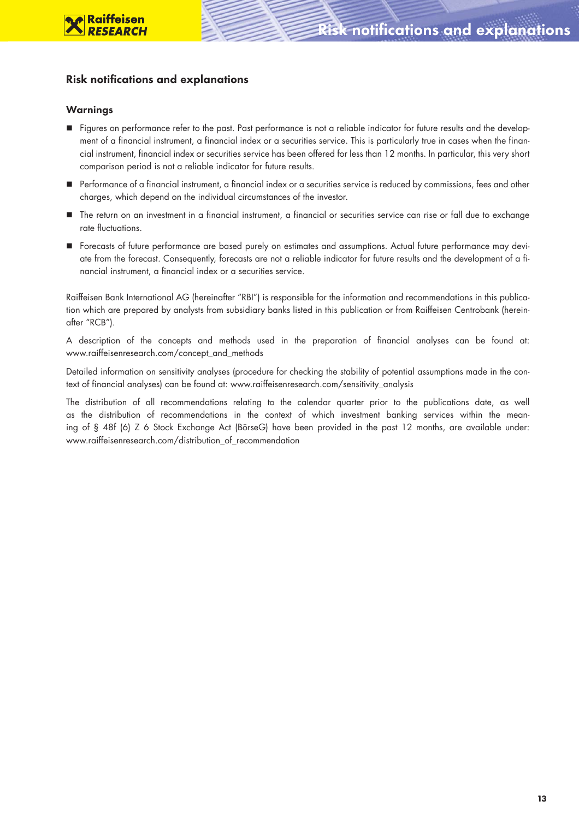### **Risk notifications and explanations**

#### Warnings

- Figures on performance refer to the past. Past performance is not a reliable indicator for future results and the development of a financial instrument, a financial index or a securities service. This is particularly true in cases when the financial instrument, financial index or securities service has been offered for less than 12 months. In particular, this very short comparison period is not a reliable indicator for future results.
- Performance of a financial instrument, a financial index or a securities service is reduced by commissions, fees and other charges, which depend on the individual circumstances of the investor.
- The return on an investment in a financial instrument, a financial or securities service can rise or fall due to exchange rate fluctuations.
- Forecasts of future performance are based purely on estimates and assumptions. Actual future performance may deviate from the forecast. Consequently, forecasts are not a reliable indicator for future results and the development of a financial instrument, a financial index or a securities service.

Raiffeisen Bank International AG (hereinafter "RBI") is responsible for the information and recommendations in this publication which are prepared by analysts from subsidiary banks listed in this publication or from Raiffeisen Centrobank (hereinafter "RCB").

A description of the concepts and methods used in the preparation of financial analyses can be found at: www.raiffeisenresearch.com/concept\_and\_methods

Detailed information on sensitivity analyses (procedure for checking the stability of potential assumptions made in the context of financial analyses) can be found at: www.raiffeisenresearch.com/sensitivity\_analysis

The distribution of all recommendations relating to the calendar quarter prior to the publications date, as well as the distribution of recommendations in the context of which investment banking services within the meaning of § 48f (6) Z 6 Stock Exchange Act (BörseG) have been provided in the past 12 months, are available under: www.raiffeisenresearch.com/distribution\_of\_recommendation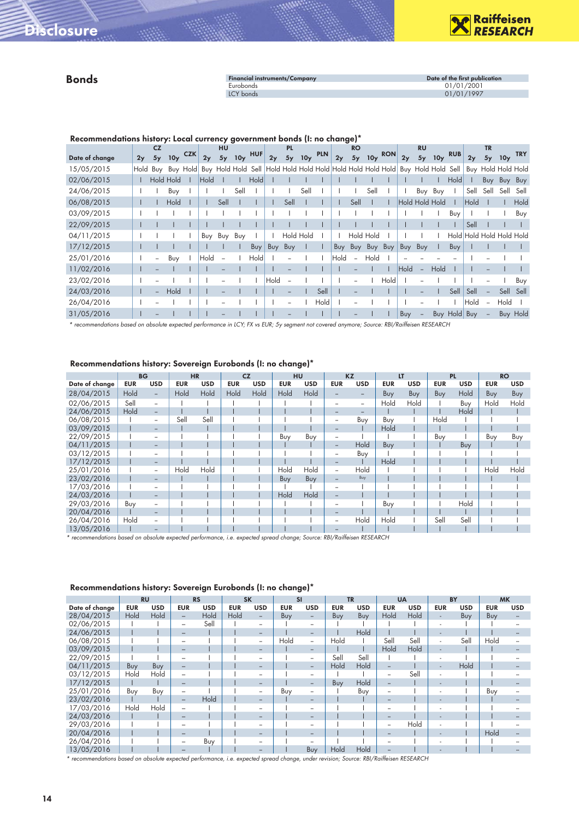

#### Bonds

| <b>Financial instruments/Company</b> | Date of the first publication |
|--------------------------------------|-------------------------------|
| Eurobonds                            | 01/01/2001                    |
| LCY bonds                            | 01/01/1997                    |

Recommendations history: Local currency government bonds (I: no change)\*

|                |          | <b>CZ</b>                |                 |          |      | HU   |                 |                    |      | <b>PL</b> |           |                                         |      | <b>RO</b>                |                 |            |      | <b>RU</b>                |                 |              |                     | <b>TR</b>      |                 |                    |
|----------------|----------|--------------------------|-----------------|----------|------|------|-----------------|--------------------|------|-----------|-----------|-----------------------------------------|------|--------------------------|-----------------|------------|------|--------------------------|-----------------|--------------|---------------------|----------------|-----------------|--------------------|
| Date of change | 2y       | 5y                       | 10 <sub>y</sub> | CZK      | 2y   | 5y   | 10 <sub>y</sub> | HUF                | 2y   |           | 5y 10y    | PLN                                     | 2y   | 5y                       | 10 <sub>y</sub> | <b>RON</b> | 2y   | 5y                       | 10 <sub>y</sub> | <b>RUB</b>   | 2y                  | 5y             | 10 <sub>y</sub> | <b>TRY</b>         |
| 15/05/2015     | Hold Buy |                          |                 | Buy Hold |      |      |                 | Buy Hold Hold Sell |      |           |           | Hold Hold Hold Hold Hold Hold Hold Hold |      |                          |                 |            |      | Buy Hold Hold            |                 | Sell         |                     |                |                 | Buy Hold Hold Hold |
| 02/06/2015     |          |                          | Hold Hold       |          | Hold |      |                 | Hold               |      |           |           |                                         |      |                          |                 |            |      |                          |                 | Hold         |                     |                | Buy Buy         | Buy                |
| 24/06/2015     |          |                          | Buy             |          |      |      | Sell            |                    |      |           | Sell      |                                         |      |                          | Sell            |            |      | Buy Buy                  |                 |              | Sell                | Sell           | Sell            | Sell               |
| 06/08/2015     |          |                          | Hold            |          |      | Sell |                 |                    |      | Sell      |           |                                         |      | Sell                     |                 |            |      | Hold Hold Hold           |                 |              | Hold                |                |                 | Hold               |
| 03/09/2015     |          |                          |                 |          |      |      |                 |                    |      |           |           |                                         |      |                          |                 |            |      |                          |                 | Buy          |                     |                |                 | Buy                |
| 22/09/2015     |          |                          |                 |          |      |      |                 |                    |      |           |           |                                         |      |                          |                 |            |      |                          |                 |              | Sell                |                |                 |                    |
| 04/11/2015     |          |                          |                 |          | Buy  | Buy  | Buy             |                    |      |           | Hold Hold |                                         |      | Hold Hold                |                 |            |      |                          |                 | Hold         | Hold Hold Hold Hold |                |                 |                    |
| 17/12/2015     |          |                          |                 |          |      |      |                 | Buy                | Buy  | Buy       |           |                                         | Buy  | Buy                      | Buy Buy         |            | Buy  | Buy                      |                 | Buy          |                     |                |                 |                    |
| 25/01/2016     |          | $\overline{\phantom{a}}$ | Buy             |          | Hold |      |                 | Hold               |      |           |           |                                         | Hold | $\overline{\phantom{a}}$ | Hold            |            |      |                          |                 |              |                     |                |                 |                    |
| 11/02/2016     |          |                          |                 |          |      |      |                 |                    |      |           |           |                                         |      |                          |                 |            | Hold | $\overline{\phantom{a}}$ | Hold            |              |                     |                |                 |                    |
| 23/02/2016     |          |                          |                 |          |      |      |                 |                    | Hold |           |           |                                         |      | $\overline{\phantom{a}}$ |                 | Hold       |      |                          |                 |              |                     |                |                 | Buy                |
| 24/03/2016     |          | $\overline{\phantom{0}}$ | Hold            |          |      |      |                 |                    |      |           |           | Sell                                    |      |                          |                 |            |      |                          |                 | Sell         | Sell                |                |                 | Sell Sell          |
| 26/04/2016     |          |                          |                 |          |      |      |                 |                    |      |           |           | Hold                                    |      |                          |                 |            |      |                          |                 |              | Hold                | $\overline{a}$ | Hold            |                    |
| 31/05/2016     |          |                          |                 |          |      |      |                 |                    |      |           |           |                                         |      |                          |                 |            | Buy  | $\overline{\phantom{a}}$ |                 | Buy Hold Buy |                     |                |                 | <b>Buy Hold</b>    |

*\* recommendations based on absolute expected performance in LCY; FX vs EUR; 5y segment not covered anymore; Source: RBI/Raiffeisen RESEARCH*

| Recommendations history: Sovereign Eurobonds (I: no change)* |  |  |  |  |  |
|--------------------------------------------------------------|--|--|--|--|--|
|--------------------------------------------------------------|--|--|--|--|--|

|                | <b>BG</b>  |                          | <b>HR</b>  |            | <b>CZ</b>  |            | <b>HU</b>  |            |                          | <b>KZ</b>                | LT         |            |            | <b>PL</b>  |            | <b>RO</b>  |
|----------------|------------|--------------------------|------------|------------|------------|------------|------------|------------|--------------------------|--------------------------|------------|------------|------------|------------|------------|------------|
| Date of change | <b>EUR</b> | <b>USD</b>               | <b>EUR</b> | <b>USD</b> | <b>EUR</b> | <b>USD</b> | <b>EUR</b> | <b>USD</b> | <b>EUR</b>               | <b>USD</b>               | <b>EUR</b> | <b>USD</b> | <b>EUR</b> | <b>USD</b> | <b>EUR</b> | <b>USD</b> |
| 28/04/2015     | Hold       | $\overline{\phantom{0}}$ | Hold       | Hold       | Hold       | Hold       | Hold       | Hold       |                          |                          | <b>Buy</b> | Buy        | Buy        | Hold       | Buy        | Buy        |
| 02/06/2015     | Sell       | $\overline{\phantom{0}}$ |            |            |            |            |            |            |                          | $\overline{\phantom{0}}$ | Hold       | Hold       |            | Buy        | Hold       | Hold       |
| 24/06/2015     | Hold       | $\overline{\phantom{0}}$ |            |            |            |            |            |            |                          | $\overline{\phantom{a}}$ |            |            |            | Hold       |            |            |
| 06/08/2015     |            | $\overline{\phantom{a}}$ | Sell       | Sell       |            |            |            |            | $\overline{\phantom{a}}$ | Buy                      | Buy        |            | Hold       |            |            |            |
| 03/09/2015     |            | -                        |            |            |            |            |            |            | $\overline{\phantom{0}}$ |                          | Hold       |            |            |            |            |            |
| 22/09/2015     |            | $\overline{\phantom{a}}$ |            |            |            |            | Buy        | Buy        | $\qquad \qquad$          |                          |            |            | Buy        |            | Buy        | Buy        |
| 04/11/2015     |            | $\overline{\phantom{0}}$ |            |            |            |            |            |            | $\overline{\phantom{0}}$ | Hold                     | Buy        |            |            | Buy        |            |            |
| 03/12/2015     |            | -                        |            |            |            |            |            |            | $\qquad \qquad$          | Buy                      |            |            |            |            |            |            |
| 17/12/2015     |            | -                        |            |            |            |            |            |            |                          |                          | Hold       |            |            |            |            |            |
| 25/01/2016     |            | $\overline{\phantom{a}}$ | Hold       | Hold       |            |            | Hold       | Hold       |                          | Hold                     |            |            |            |            | Hold       | Hold       |
| 23/02/2016     |            | -                        |            |            |            |            | Buy        | Buy        | $\overline{\phantom{0}}$ | Buy                      |            |            |            |            |            |            |
| 17/03/2016     |            | -                        |            |            |            |            |            |            |                          |                          |            |            |            |            |            |            |
| 24/03/2016     |            | $\overline{\phantom{0}}$ |            |            |            |            | Hold       | Hold       |                          |                          |            |            |            |            |            |            |
| 29/03/2016     | Buy        | $\overline{\phantom{a}}$ |            |            |            |            |            |            |                          |                          | Buy        |            |            | Hold       |            |            |
| 20/04/2016     |            |                          |            |            |            |            |            |            |                          |                          |            |            |            |            |            |            |
| 26/04/2016     | Hold       |                          |            |            |            |            |            |            |                          | Hold                     | Hold       |            | Sell       | Sell       |            |            |
| 13/05/2016     |            |                          |            |            |            |            |            |            |                          |                          |            |            |            |            |            |            |

*\* recommendations based on absolute expected performance, i.e. expected spread change; Source: RBI/Raiffeisen RESEARCH*

|                | <b>RU</b>  |            |                          | <b>RS</b>  | <b>SK</b>  |                          | <b>SI</b>  |                          | <b>TR</b>  |            | <b>UA</b>                |            |                          | <b>BY</b> | <b>MK</b>  |            |
|----------------|------------|------------|--------------------------|------------|------------|--------------------------|------------|--------------------------|------------|------------|--------------------------|------------|--------------------------|-----------|------------|------------|
| Date of change | <b>EUR</b> | <b>USD</b> | <b>EUR</b>               | <b>USD</b> | <b>EUR</b> | <b>USD</b>               | <b>EUR</b> | <b>USD</b>               | <b>EUR</b> | <b>USD</b> | <b>EUR</b>               | <b>USD</b> | <b>EUR</b>               | USD       | <b>EUR</b> | <b>USD</b> |
| 28/04/2015     | Hold       | Hold       | $\overline{\phantom{m}}$ | Hold       | Hold       | $\overline{\phantom{a}}$ | Buy        | -                        | Buy        | Buy        | Hold                     | Hold       | $\overline{\phantom{a}}$ | Buy       | Buy        |            |
| 02/06/2015     |            |            | $\overline{\phantom{a}}$ | Sell       |            | $\overline{\phantom{0}}$ |            | $\qquad \qquad$          |            |            |                          |            | $\overline{\phantom{0}}$ |           |            |            |
| 24/06/2015     |            |            | $\qquad \qquad -$        |            |            | $\overline{\phantom{a}}$ |            | -                        |            | Hold       |                          |            | $\overline{\phantom{a}}$ |           |            |            |
| 06/08/2015     |            |            | $\qquad \qquad$          |            |            | $\overline{\phantom{0}}$ | Hold       | -                        | Hold       |            | Sell                     | Sell       | $\overline{\phantom{a}}$ | Sell      | Hold       |            |
| 03/09/2015     |            |            | $\overline{\phantom{m}}$ |            |            | $\overline{\phantom{a}}$ |            | $\overline{\phantom{m}}$ |            |            | Hold                     | Hold       | $\overline{\phantom{a}}$ |           |            |            |
| 22/09/2015     |            |            |                          |            |            | $\overline{\phantom{a}}$ |            | $\qquad \qquad$          | Sell       | Sell       |                          |            |                          |           |            |            |
| 04/11/2015     | Buy        | Buy        | $\qquad \qquad -$        |            |            | $\overline{\phantom{a}}$ |            | -                        | Hold       | Hold       | -                        |            | $\sim$                   | Hold      |            |            |
| 03/12/2015     | Hold       | Hold       |                          |            |            | $\overline{\phantom{a}}$ |            | $\qquad \qquad$          |            |            |                          | Sell       |                          |           |            |            |
| 17/12/2015     |            |            |                          |            |            | $\overline{\phantom{a}}$ |            | -                        | Buy        | Hold       | -                        |            | $\overline{\phantom{a}}$ |           |            |            |
| 25/01/2016     | Buy        | Buy        |                          |            |            | $\overline{\phantom{0}}$ | Buy        | $\qquad \qquad$          |            | Buy        | $\overline{\phantom{0}}$ |            | $\overline{\phantom{a}}$ |           | Buy        |            |
| 23/02/2016     |            |            | $\qquad \qquad -$        | Hold       |            | $\overline{\phantom{a}}$ |            | -                        |            |            |                          |            |                          |           |            |            |
| 17/03/2016     | Hold       | Hold       |                          |            |            |                          |            | $\qquad \qquad$          |            |            |                          |            |                          |           |            |            |
| 24/03/2016     |            |            |                          |            |            | $\sim$                   |            | -                        |            |            |                          |            |                          |           |            |            |
| 29/03/2016     |            |            |                          |            |            |                          |            | $\qquad \qquad$          |            |            | -                        | Hold       |                          |           |            |            |
| 20/04/2016     |            |            |                          |            |            | $\overline{\phantom{a}}$ |            | $\overline{\phantom{a}}$ |            |            |                          |            | $\overline{\phantom{a}}$ |           | Hold       |            |
| 26/04/2016     |            |            |                          | Buy        |            |                          |            |                          |            |            |                          |            |                          |           |            |            |
| 13/05/2016     |            |            |                          |            |            |                          |            | Buy                      | Hold       | Hold       |                          |            |                          |           |            |            |

#### Recommendations history: Sovereign Eurobonds (I: no change)\*

*\* recommendations based on absolute expected performance, i.e. expected spread change, under revision; Source: RBI/Raiffeisen RESEARCH*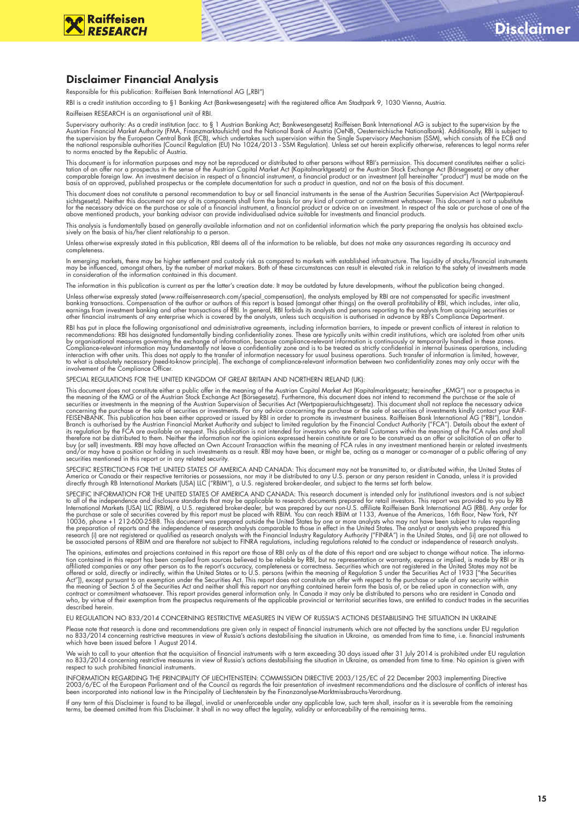

#### Disclaimer Financial Analysis

Responsible for this publication: Raiffeisen Bank International AG ("RBI")

RBI is a credit institution according to §1 Banking Act (Bankwesengesetz) with the registered office Am Stadtpark 9, 1030 Vienna, Austria.

Raiffeisen RESEARCH is an organisational unit of RBI.

Supervisory authority: As a credit institution (acc. to § 1 Austrian Banking Act; Bankwesengesetz) Raiffeisen Bank International AG is subject to the supervision by the<br>Austrian Financial Market Authority (FMA, Finanzmarkt the supervision by the European Central Bank (ECB), which undertakes such supervision within the Single Supervisory Mechanism (SSM), which consists of the ECB and<br>the national responsible authorities (Council Regulation (E

This document is for information purposes and may not be reproduced or distributed to other persons without RBI's permission. This document constitutes neither a solici-<br>tation of an offer nor a prospectus in the sense of

This document does not constitute a personal recommendation to buy or sell financial instruments in the sense of the Austrian Securities Supervision Act (Wertpapieraufsichtsgesetz). Neither this document nor any of its components shall form the basis for any kind of contract or commitment whatsoever. This document is not a substitute<br>for the necessary advice on the purchase or sale of a above mentioned products, your banking advisor can provide individualised advice suitable for investments and financial products.

This analysis is fundamentally based on generally available information and not on confidential information which the party preparing the analysis has obtained exclu-<br>sively on the basis of his/her client relationship to a

Unless otherwise expressly stated in this publication, RBI deems all of the information to be reliable, but does not make any assurances regarding its accuracy and completeness.

In emerging markets, there may be higher settlement and custody risk as compared to markets with established infrastructure. The liquidity of stocks/financial instruments<br>may be influenced, amongst others, by the number of

The information in this publication is current as per the latter's creation date. It may be outdated by future developments, without the publication being changed.

Unless otherwise expressly stated (www.raiffeisenresearch.com/special\_compensation), the analysts employed by RBI are not compensated for specific investment<br>banking transactions. Compensation of the author or authors of t

RBI has put in place the following organisational and administrative agreements, including information barriers, to impede or prevent conflicts of interest in relation to<br>recommendations: RBI has designated fundamentally b Compliance-relevant information may fundamentally not leave a confidentiality zone and is to be treated as strictly confidential in internal business operations, including<br>interaction with other units. This does not apply

SPECIAL REGULATIONS FOR THE UNITED KINGDOM OF GREAT BRITAIN AND NORTHERN IRELAND (UK):

This document does not constitute either a public offer in the meaning of the Austrian Capital Market Act (Kapitalmarktgesetz; hereinafter "KMG") nor a prospectus in the meaning of the KMG or of the Austrian Stock Exchange Act (Börsegesetz). Furthermore, this document does not intend to recommend the purchase or the sale of<br>securities or investments in the meaning of the Austrian Super concerning the purchase or the sale of securities or investments. For any advice concerning the purchase or the sale of securities of investments kindly contact your RAIF-<br>FEISENBANK. This publication has been either appro its regulation by the FCA are available on request. This publication is not intended for investors who are Retail Customers within the meaning of the FCA rules and shall therefore not be distributed to them. Neither the information nor the opinions expressed herein constitute or are to be construed as an offer or solicitation of an offer to<br>buy (or sell) investments. RBI may have affected and/or may have a position or holding in such investments as a result. RBI may have been, or might be, acting as a manager or co-manager of a public offering of any<br>securities mentioned in this report or in any related sec

SPECIFIC RESTRICTIONS FOR THE UNITED STATES OF AMERICA AND CANADA: This document may not be transmitted to, or distributed within, the United States of<br>America or Canada or their respective territories or possessions, nor

SPECIFIC INFORMATION FOR THE UNITED STATES OF AMERICA AND CANADA: This research document is intended only for institutional investors and is not subject<br>to all of the independence and disclosure standards that may be appli the purchase or sale of securities covered by this report must be placed with RBIM. You can reach RBIM at 1133, Avenue of the Americas, 16th floor, New York, NY<br>10036, phone +1 212-600-2588. This document was prepared outs

The opinions, estimates and projections contained in this report are those of RBI only as of the date of this report and are subject to change without notice. The informa-<br>tion contained in this report has been compiled fr attiliated companies or any other person as to the report's accuracy, completeness or correctness. Securities which are not registered in the United States may not be offered or sold, directly within the United States or t described herein.

EU REGULATION NO 833/2014 CONCERNING RESTRICTIVE MEASURES IN VIEW OF RUSSIA'S ACTIONS DESTABILISING THE SITUATION IN UKRAINE

Please note that research is done and recommendations are given only in respect of tinancial instruments which are not affected by the sanctions under EU regulation<br>no 833/2014 concerning restrictive measures in view of Ru

We wish to call to your attention that the acquisition of financial instruments with a term exceeding 30 days issued after 31 July 2014 is prohibited under EU regulation no 833/2014 concerning restrictive measures in view of Russia's actions destabilising the situation in Ukraine, as amended from time to time. No opinion is given with respect to such prohibited financial instruments.

INFORMATION REGARDING THE PRINCIPALITY OF LIECHTENSTEIN: COMMISSION DIRECTIVE 2003/125/EC of 22 December 2003 implementing Directive<br>2003/6/EC of the European Parliament and of the Council as regards the fair presentation been incorporated into national law in the Principality of Liechtenstein by the Finanzanalyse-Marktmissbrauchs-Verordnung.

If any term of this Disclaimer is found to be illegal, invalid or unenforceable under any applicable law, such term shall, insofar as it is severable from the remaining<br>terms, be deemed omitted from this Disclaimer. It sha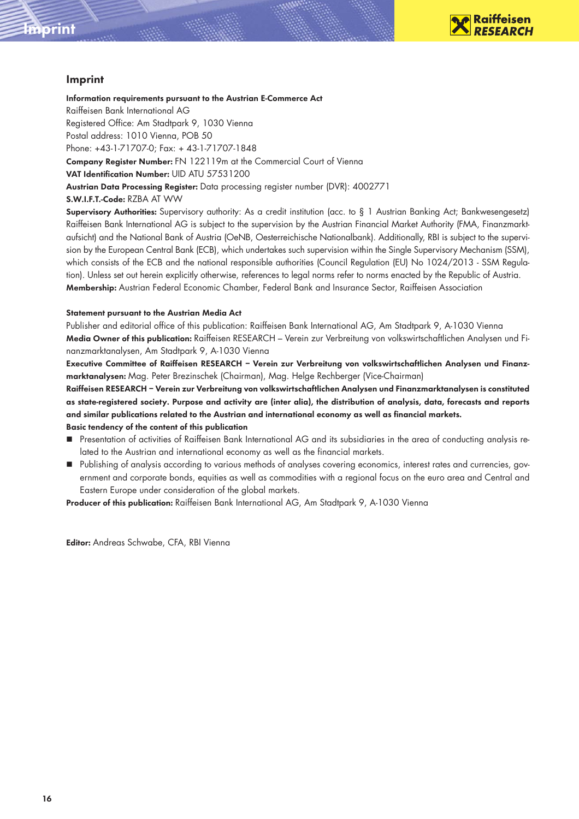

#### Imprint

Imprint

Information requirements pursuant to the Austrian E-Commerce Act Raiffeisen Bank International AG Registered Office: Am Stadtpark 9, 1030 Vienna Postal address: 1010 Vienna, POB 50 Phone: +43-1-71707-0; Fax: + 43-1-71707-1848 Company Register Number: FN 122119m at the Commercial Court of Vienna VAT Identification Number: UID ATU 57531200 Austrian Data Processing Register: Data processing register number (DVR): 4002771 S.W.I.F.T.-Code: RZBA AT WW

Supervisory Authorities: Supervisory authority: As a credit institution (acc. to § 1 Austrian Banking Act; Bankwesengesetz) Raiffeisen Bank International AG is subject to the supervision by the Austrian Financial Market Authority (FMA, Finanzmarktaufsicht) and the National Bank of Austria (OeNB, Oesterreichische Nationalbank). Additionally, RBI is subject to the supervision by the European Central Bank (ECB), which undertakes such supervision within the Single Supervisory Mechanism (SSM), which consists of the ECB and the national responsible authorities (Council Regulation (EU) No 1024/2013 - SSM Regulation). Unless set out herein explicitly otherwise, references to legal norms refer to norms enacted by the Republic of Austria. Membership: Austrian Federal Economic Chamber, Federal Bank and Insurance Sector, Raiffeisen Association

#### Statement pursuant to the Austrian Media Act

Publisher and editorial office of this publication: Raiffeisen Bank International AG, Am Stadtpark 9, A-1030 Vienna Media Owner of this publication: Raiffeisen RESEARCH – Verein zur Verbreitung von volkswirtschaftlichen Analysen und Finanzmarktanalysen, Am Stadtpark 9, A-1030 Vienna

Executive Committee of Raiffeisen RESEARCH – Verein zur Verbreitung von volkswirtschaftlichen Analysen und Finanzmarktanalysen: Mag. Peter Brezinschek (Chairman), Mag. Helge Rechberger (Vice-Chairman)

Raiffeisen RESEARCH – Verein zur Verbreitung von volkswirtschaftlichen Analysen und Finanzmarktanalysen is constituted as state-registered society. Purpose and activity are (inter alia), the distribution of analysis, data, forecasts and reports and similar publications related to the Austrian and international economy as well as financial markets.

#### Basic tendency of the content of this publication

- Presentation of activities of Raiffeisen Bank International AG and its subsidiaries in the area of conducting analysis related to the Austrian and international economy as well as the financial markets.
- Publishing of analysis according to various methods of analyses covering economics, interest rates and currencies, government and corporate bonds, equities as well as commodities with a regional focus on the euro area and Central and Eastern Europe under consideration of the global markets.

Producer of this publication: Raiffeisen Bank International AG, Am Stadtpark 9, A-1030 Vienna

Editor: Andreas Schwabe, CFA, RBI Vienna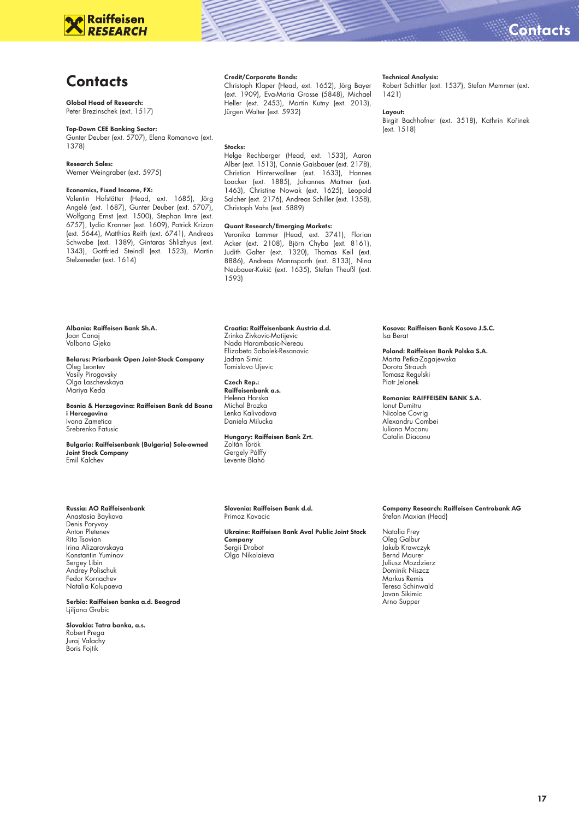# **Raiffeisen**

### **Contacts**

#### Global Head of Research: Peter Brezinschek (ext. 1517)

#### Top-Down CEE Banking Sector:

Gunter Deuber (ext. 5707), Elena Romanova (ext. 1378)

#### Research Sales:

Werner Weingraber (ext. 5975)

#### Economics, Fixed Income, FX:

Valentin Hofstätter (Head, ext. 1685), Jörg Angelé (ext. 1687), Gunter Deuber (ext. 5707), Wolfgang Ernst (ext. 1500), Stephan Imre (ext. 6757), Lydia Kranner (ext. 1609), Patrick Krizan (ext. 5644), Matthias Reith (ext. 6741), Andreas Schwabe (ext. 1389), Gintaras Shlizhyus (ext. 1343), Gottfried Steindl (ext. 1523), Martin Stelzeneder (ext. 1614)

Albania: Raiffeisen Bank Sh.A. Joan Canaj Valbona Gjeka

Belarus: Priorbank Open Joint-Stock Company Oleg Leontev Vasily Pirogovsky Olga Laschevskaya Mariya Keda

Bosnia & Herzegovina: Raiffeisen Bank dd Bosna i Hercegovina Ivona Zametica

Srebrenko Fatusic

Bulgaria: Raiffeisenbank (Bulgaria) Sole-owned Joint Stock Company Emil Kalchev

#### Russia: AO Raiffeisenbank

Anastasia Baykova Denis Poryvay Anton Pletenev Rita Tsovian Irina Alizarovskaya Konstantin Yuminov Sergey Libin Andrey Polischuk Fedor Kornachev Natalia Kolupaeva

Serbia: Raiffeisen banka a.d. Beograd Ljiljana Grubic

#### Slovakia: Tatra banka, a.s. Robert Prega Juraj Valachy Boris Fojtik

#### Credit/Corporate Bonds:

Christoph Klaper (Head, ext. 1652), Jörg Bayer (ext. 1909), Eva-Maria Grosse (5848), Michael Heller (ext. 2453), Martin Kutny (ext. 2013), Jürgen Walter (ext. 5932)

#### Stocks:

Helge Rechberger (Head, ext. 1533), Aaron Alber (ext. 1513), Connie Gaisbauer (ext. 2178), Christian Hinterwallner (ext. 1633), Hannes Loacker (ext. 1885), Johannes Mattner (ext. 1463), Christine Nowak (ext. 1625), Leopold Salcher (ext. 2176), Andreas Schiller (ext. 1358), Christoph Vahs (ext. 5889)

#### Quant Research/Emerging Markets:

Veronika Lammer (Head, ext. 3741), Florian Acker (ext. 2108), Björn Chyba (ext. 8161), Judith Galter (ext. 1320), Thomas Keil (ext. 8886), Andreas Mannsparth (ext. 8133), Nina Neubauer-Kukić (ext. 1635), Stefan Theußl (ext. 1593)

#### Croatia: Raiffeisenbank Austria d.d.

Zrinka Zivkovic-Matijevic Nada Harambasic-Nereau Elizabeta Sabolek-Resanovic Jadran Simic Tomislava Ujevic

Czech Rep.: Raiffeisenbank a.s. Helena Horska Michal Brozka Lenka Kalivodova Daniela Milucka

Hungary: Raiffeisen Bank Zrt. Zoltán Török Gergely Pálffy Levente Blahó

Slovenia: Raiffeisen Bank d.d. Primoz Kovacic

Ukraine: Raiffeisen Bank Aval Public Joint Stock **Company**<br>Sergii Drobot Olga Nikolaieva

#### Technical Analysis:

Robert Schittler (ext. 1537), Stefan Memmer (ext. 1421)

#### Layout:

Birgit Bachhofner (ext. 3518), Kathrin Kořinek (ext. 1518)

Kosovo: Raiffeisen Bank Kosovo J.S.C. Isa Berat

Poland: Raiffeisen Bank Polska S.A. Marta Petka-Zagajewska Dorota Strauch Tomasz Regulski Piotr Jelonek

Romania: RAIFFEISEN BANK S.A.

Ionut Dumitru Nicolae Covrig Alexandru Combei Iuliana Mocanu Catalin Diaconu

### Company Research: Raiffeisen Centrobank AG Stefan Maxian (Head)

Natalia Frey Oleg Galbur Jakub Krawczyk Bernd Maurer Juliusz Mozdzierz Dominik Niszcz Markus Remis Teresa Schinwald Jovan Sikimic Arno Supper